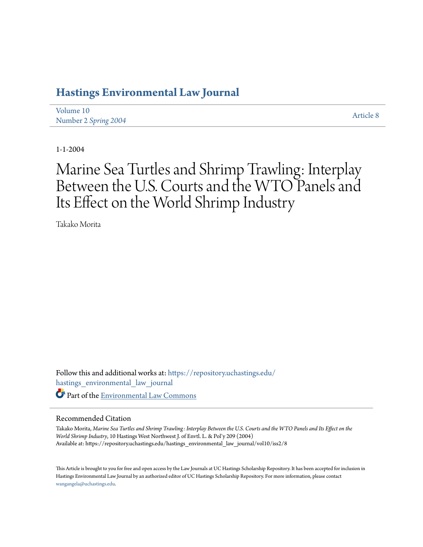# **[Hastings Environmental Law Journal](https://repository.uchastings.edu/hastings_environmental_law_journal?utm_source=repository.uchastings.edu%2Fhastings_environmental_law_journal%2Fvol10%2Fiss2%2F8&utm_medium=PDF&utm_campaign=PDFCoverPages)**

[Volume 10](https://repository.uchastings.edu/hastings_environmental_law_journal/vol10?utm_source=repository.uchastings.edu%2Fhastings_environmental_law_journal%2Fvol10%2Fiss2%2F8&utm_medium=PDF&utm_campaign=PDFCoverPages) Number 2 *[Spring 2004](https://repository.uchastings.edu/hastings_environmental_law_journal/vol10/iss2?utm_source=repository.uchastings.edu%2Fhastings_environmental_law_journal%2Fvol10%2Fiss2%2F8&utm_medium=PDF&utm_campaign=PDFCoverPages)* [Article 8](https://repository.uchastings.edu/hastings_environmental_law_journal/vol10/iss2/8?utm_source=repository.uchastings.edu%2Fhastings_environmental_law_journal%2Fvol10%2Fiss2%2F8&utm_medium=PDF&utm_campaign=PDFCoverPages)

1-1-2004

# Marine Sea Turtles and Shrimp Trawling: Interplay Between the U.S. Courts and the WTO Panels and Its Effect on the World Shrimp Industry

Takako Morita

Follow this and additional works at: [https://repository.uchastings.edu/](https://repository.uchastings.edu/hastings_environmental_law_journal?utm_source=repository.uchastings.edu%2Fhastings_environmental_law_journal%2Fvol10%2Fiss2%2F8&utm_medium=PDF&utm_campaign=PDFCoverPages) [hastings\\_environmental\\_law\\_journal](https://repository.uchastings.edu/hastings_environmental_law_journal?utm_source=repository.uchastings.edu%2Fhastings_environmental_law_journal%2Fvol10%2Fiss2%2F8&utm_medium=PDF&utm_campaign=PDFCoverPages) Part of the [Environmental Law Commons](http://network.bepress.com/hgg/discipline/599?utm_source=repository.uchastings.edu%2Fhastings_environmental_law_journal%2Fvol10%2Fiss2%2F8&utm_medium=PDF&utm_campaign=PDFCoverPages)

#### Recommended Citation

Takako Morita, *Marine Sea Turtles and Shrimp Trawling: Interplay Between the U.S. Courts and the WTO Panels and Its Effect on the World Shrimp Industry*, 10 Hastings West Northwest J. of Envtl. L. & Pol'y 209 (2004) Available at: https://repository.uchastings.edu/hastings\_environmental\_law\_journal/vol10/iss2/8

This Article is brought to you for free and open access by the Law Journals at UC Hastings Scholarship Repository. It has been accepted for inclusion in Hastings Environmental Law Journal by an authorized editor of UC Hastings Scholarship Repository. For more information, please contact [wangangela@uchastings.edu](mailto:wangangela@uchastings.edu).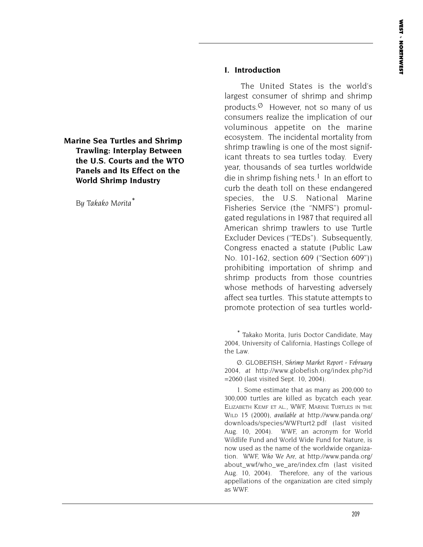**Marine Sea Turtles and Shrimp Trawling: Interplay Between the U.S. Courts and the WTO Panels and Its Effect on the World Shrimp Industry**

*By Takako Morita\**

#### **I. Introduction**

The United States is the world's largest consumer of shrimp and shrimp products. $\emptyset$  However, not so many of us consumers realize the implication of our voluminous appetite on the marine ecosystem. The incidental mortality from shrimp trawling is one of the most significant threats to sea turtles today. Every year, thousands of sea turtles worldwide die in shrimp fishing nets.<sup>1</sup> In an effort to curb the death toll on these endangered species, the U.S. National Marine Fisheries Service (the "NMFS") promulgated regulations in 1987 that required all American shrimp trawlers to use Turtle Excluder Devices ("TEDs"). Subsequently, Congress enacted a statute (Public Law No. 101-162, section 609 ("Section 609")) prohibiting importation of shrimp and shrimp products from those countries whose methods of harvesting adversely affect sea turtles. This statute attempts to promote protection of sea turtles world-

\* Takako Morita, Juris Doctor Candidate, May 2004, University of California, Hastings College of the Law.

Ø. GLOBEFISH, *Shrimp Market Report - February 2004*, *at* http://www.globefish.org/index.php?id =2060 (last visited Sept. 10, 2004).

1. Some estimate that as many as 200,000 to 300,000 turtles are killed as bycatch each year. ELIZABETH KEMF ET AL., WWF, MARINE TURTLES IN THE WILD 15 (2000), *available at* http://www.panda.org/ downloads/species/WWFturt2.pdf (last visited Aug. 10, 2004). WWF, an acronym for World Wildlife Fund and World Wide Fund for Nature, is now used as the name of the worldwide organization. WWF, *Who We Are*, at http://www.panda.org/ about wwf/who we are/index.cfm (last visited Aug. 10, 2004). Therefore, any of the various appellations of the organization are cited simply as WWF.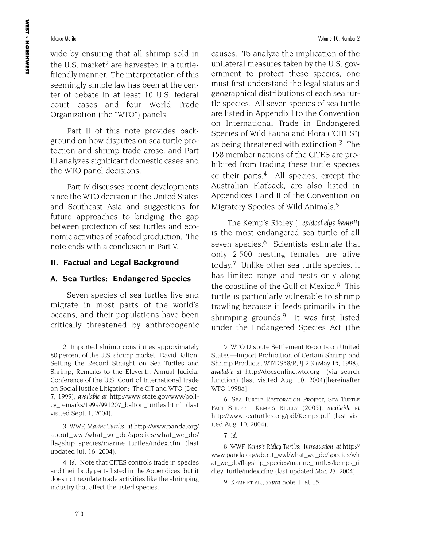wide by ensuring that all shrimp sold in the U.S. market<sup>2</sup> are harvested in a turtlefriendly manner. The interpretation of this seemingly simple law has been at the center of debate in at least 10 U.S. federal court cases and four World Trade Organization (the "WTO") panels.

Part II of this note provides background on how disputes on sea turtle protection and shrimp trade arose, and Part III analyzes significant domestic cases and the WTO panel decisions.

Part IV discusses recent developments since the WTO decision in the United States and Southeast Asia and suggestions for future approaches to bridging the gap between protection of sea turtles and economic activities of seafood production. The note ends with a conclusion in Part V.

#### **II. Factual and Legal Background**

#### **A. Sea Turtles: Endangered Species**

Seven species of sea turtles live and migrate in most parts of the world's oceans, and their populations have been critically threatened by anthropogenic

2. Imported shrimp constitutes approximately 80 percent of the U.S. shrimp market. David Balton, Setting the Record Straight on Sea Turtles and Shrimp, Remarks to the Eleventh Annual Judicial Conference of the U.S. Court of International Trade on Social Justice Litigation: The CIT and WTO (Dec. 7, 1999), *available at* http://www.state.gov/www/policy remarks/1999/991207 balton turtles.html (last visited Sept. 1, 2004).

3. WWF, *Marine Turtles, at* http://www.panda.org/ about wwf/what we do/species/what we do/ flagship species/marine turtles/index.cfm (last updated Jul. 16, 2004)*.* 

4. *Id*. Note that CITES controls trade in species and their body parts listed in the Appendices, but it does not regulate trade activities like the shrimping industry that affect the listed species.

causes. To analyze the implication of the unilateral measures taken by the U.S. government to protect these species, one must first understand the legal status and geographical distributions of each sea turtle species. All seven species of sea turtle are listed in Appendix I to the Convention on International Trade in Endangered Species of Wild Fauna and Flora ("CITES") as being threatened with extinction.<sup>3</sup> The 158 member nations of the CITES are prohibited from trading these turtle species or their parts.4 All species, except the Australian Flatback, are also listed in Appendices I and II of the Convention on Migratory Species of Wild Animals.<sup>5</sup>

The Kemp's Ridley (*Lepidochelys kempii)* is the most endangered sea turtle of all seven species.<sup>6</sup> Scientists estimate that only 2,500 nesting females are alive today.7 Unlike other sea turtle species, it has limited range and nests only along the coastline of the Gulf of Mexico. $8$  This turtle is particularly vulnerable to shrimp trawling because it feeds primarily in the shrimping grounds.9 It was first listed under the Endangered Species Act (the

5. WTO Dispute Settlement Reports on United States—Import Prohibition of Certain Shrimp and Shrimp Products, WT/DS58/R, ¶ 2.3 (May 15, 1998), *available at* http://docsonline.wto.org (via search function) (last visited Aug. 10, 2004)[hereinafter WTO 1998a].

6. SEA TURTLE RESTORATION PROJECT, SEA TURTLE FACT SHEET: KEMP'S RIDLEY (2003), *available at* http://www.seaturtles.org/pdf/Kemps.pdf (last visited Aug. 10, 2004).

7. *Id.*

8. WWF, *Kemp's Ridley Turtles: Introduction*, *at* http:// www.panda.org/about\_wwf/what\_we\_do/species/wh at we do/flagship species/marine turtles/kemps ri dley\_turtle/index.cfm/ (last updated Mar. 23, 2004).

9. KEMF ET AL., *supra* note 1, at 15.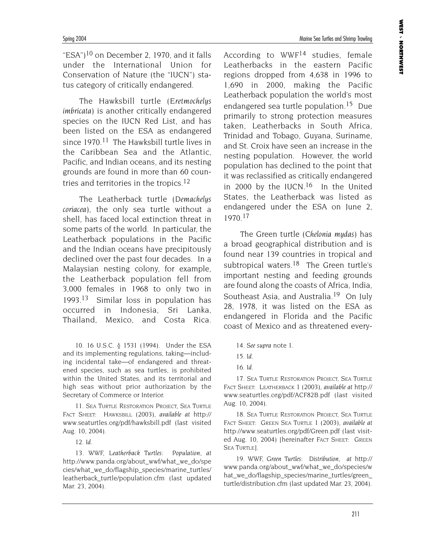Spring 2004 Marine Sea Turtles and Shrimp Trawling

"ESA")<sup>10</sup> on December 2, 1970, and it falls under the International Union for Conservation of Nature (the "IUCN") status category of critically endangered.

The Hawksbill turtle (*Eretmochelys imbricata)* is another critically endangered species on the IUCN Red List, and has been listed on the ESA as endangered since  $1970^{11}$  The Hawksbill turtle lives in the Caribbean Sea and the Atlantic, Pacific, and Indian oceans, and its nesting grounds are found in more than 60 countries and territories in the tropics.<sup>12</sup>

The Leatherback turtle (*Demachelys coriacea)*, the only sea turtle without a shell, has faced local extinction threat in some parts of the world. In particular, the Leatherback populations in the Pacific and the Indian oceans have precipitously declined over the past four decades. In a Malaysian nesting colony, for example, the Leatherback population fell from 3,000 females in 1968 to only two in 1993.13 Similar loss in population has occurred in Indonesia, Sri Lanka, Thailand, Mexico, and Costa Rica.

10. 16 U.S.C. § 1531 (1994). Under the ESA and its implementing regulations, taking—including incidental take—of endangered and threatened species, such as sea turtles, is prohibited within the United States, and its territorial and high seas without prior authorization by the Secretary of Commerce or Interior.

11. SEA TURTLE RESTORATION PROJECT, SEA TURTLE FACT SHEET: HAWKSBILL (2003), *available at* http:// www.seaturtles.org/pdf/hawksbill.pdf (last visited Aug. 10, 2004).

12. *Id.*

13. WWF, *Leatherback Turtles: Population*, *at* http://www.panda.org/about\_wwf/what\_we\_do/spe cies/what\_we\_do/flagship\_species/marine\_turtles/ leatherback\_turtle/population.cfm (last updated Mar. 23, 2004).

According to WWF<sup>14</sup> studies, female Leatherbacks in the eastern Pacific regions dropped from 4,638 in 1996 to 1,690 in 2000, making the Pacific Leatherback population the world's most endangered sea turtle population.15 Due primarily to strong protection measures taken, Leatherbacks in South Africa, Trinidad and Tobago, Guyana, Suriname, and St. Croix have seen an increase in the nesting population. However, the world population has declined to the point that it was reclassified as critically endangered in 2000 by the IUCN.<sup>16</sup> In the United States, the Leatherback was listed as endangered under the ESA on June 2, 1970.17

The Green turtle (*Chelonia mydas)* has a broad geographical distribution and is found near 139 countries in tropical and subtropical waters.<sup>18</sup> The Green turtle's important nesting and feeding grounds are found along the coasts of Africa, India, Southeast Asia, and Australia.<sup>19</sup> On July 28, 1978, it was listed on the ESA as endangered in Florida and the Pacific coast of Mexico and as threatened every-

14. *See supra* note 1.

17. SEA TURTLE RESTORATION PROJECT, SEA TURTLE FACT SHEET: LEATHERBACK 1 (2003), *available at* http:// www.seaturtles.org/pdf/ACF82B.pdf (last visited Aug. 10, 2004).

18. SEA TURTLE RESTORATION PROJECT, SEA TURTLE FACT SHEET: GREEN SEA TURTLE 1 (2003), *available at* http://www.seaturtles.org/pdf/Green.pdf (last visited Aug. 10, 2004) [hereinafter FACT SHEET: GREEN SEA TURTLE].

19. WWF, *Green Turtles: Distribution*, *at* http:// www.panda.org/about\_wwf/what\_we\_do/species/w hat\_we\_do/flagship\_species/marine\_turtles/green\_ turtle/distribution.cfm (last updated Mar. 23, 2004).

<sup>15.</sup> *Id*.

<sup>16.</sup> *Id.*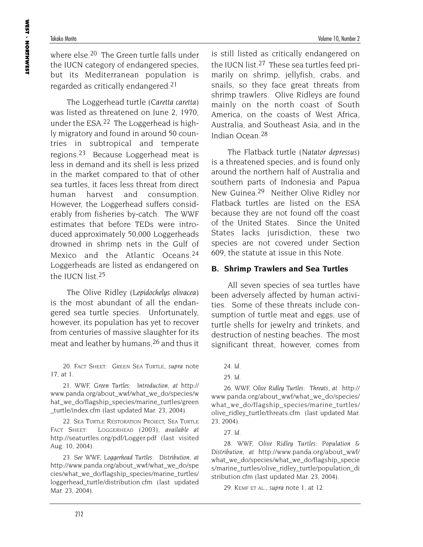where else.<sup>20</sup> The Green turtle falls under the IUCN category of endangered species, but its Mediterranean population is regarded as critically endangered.<sup>21</sup>

The Loggerhead turtle (*Caretta caretta*) was listed as threatened on June 2, 1970, under the ESA.22 The Loggerhead is highly migratory and found in around 50 countries in subtropical and temperate regions.23 Because Loggerhead meat is less in demand and its shell is less prized in the market compared to that of other sea turtles, it faces less threat from direct human harvest and consumption. However, the Loggerhead suffers considerably from fisheries by-catch. The WWF estimates that before TEDs were introduced approximately 50,000 Loggerheads drowned in shrimp nets in the Gulf of Mexico and the Atlantic Oceans.<sup>24</sup> Loggerheads are listed as endangered on the IUCN list.25

The Olive Ridley (*Lepidochelys olivacea)* is the most abundant of all the endangered sea turtle species. Unfortunately, however, its population has yet to recover from centuries of massive slaughter for its meat and leather by humans,26 and thus it

20. FACT SHEET: GREEN SEA TURTLE, *supra* note 17, at 1.

21. WWF, *Green Turtles: Introduction*, *at* http:// www.panda.org/about\_wwf/what\_we\_do/species/w hat\_we\_do/flagship\_species/marine\_turtles/green \_turtle/index.cfm (last updated Mar. 23, 2004).

22. SEA TURTLE RESTORATION PROJECT, SEA TURTLE FACT SHEET: LOGGERHEAD (2003), *available at* http://seaturtles.org/pdf/Logger.pdf (last visited Aug. 10, 2004).

23. *See* WWF, *Loggerhead Turtles: Distribution, at* http://www.panda.org/about\_wwf/what\_we\_do/spe cies/what\_we\_do/flagship\_species/marine\_turtles/ loggerhead\_turtle/distribution.cfm (last updated Mar. 23, 2004).

is still listed as critically endangered on the IUCN list.27 These sea turtles feed primarily on shrimp, jellyfish, crabs, and snails, so they face great threats from shrimp trawlers. Olive Ridleys are found mainly on the north coast of South America, on the coasts of West Africa, Australia, and Southeast Asia, and in the Indian Ocean.28

The Flatback turtle (*Natator depressus)* is a threatened species, and is found only around the northern half of Australia and southern parts of Indonesia and Papua New Guinea.29 Neither Olive Ridley nor Flatback turtles are listed on the ESA because they are not found off the coast of the United States. Since the United States lacks jurisdiction, these two species are not covered under Section 609, the statute at issue in this Note.

#### **B. Shrimp Trawlers and Sea Turtles**

All seven species of sea turtles have been adversely affected by human activities. Some of these threats include consumption of turtle meat and eggs, use of turtle shells for jewelry and trinkets, and destruction of nesting beaches. The most significant threat, however, comes from

26. WWF, *Olive Ridley Turtles: Threats*, *at* http:// www.panda.org/about\_wwf/what\_we\_do/species/ what we do/flagship species/marine turtles/ olive\_ridley\_turtle/threats.cfm (last updated Mar. 23, 2004).

27. *Id.*

28. WWF, *Olive Ridley Turtles: Population & Distribution*, *at* http://www.panda.org/about\_wwf/ what\_we\_do/species/what\_we\_do/flagship\_specie s/marine\_turtles/olive\_ridley\_turtle/population\_di stribution.cfm (last updated Mar. 23, 2004).

29. KEMF ET AL., *supra* note 1, at 12.

<sup>24.</sup> *Id.*

<sup>25.</sup> *Id.*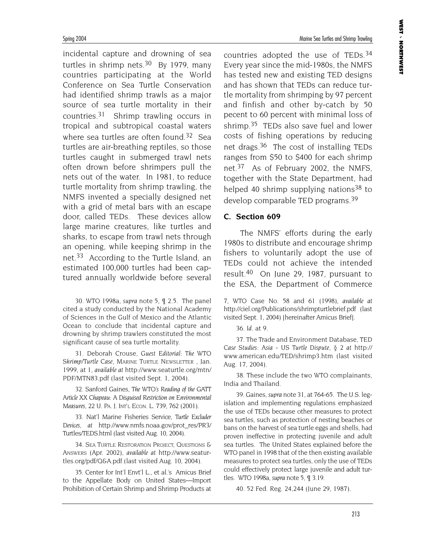incidental capture and drowning of sea turtles in shrimp nets. $30\,$  By 1979, many countries participating at the World Conference on Sea Turtle Conservation had identified shrimp trawls as a major source of sea turtle mortality in their countries.31 Shrimp trawling occurs in tropical and subtropical coastal waters where sea turtles are often found.<sup>32</sup> Sea turtles are air-breathing reptiles, so those turtles caught in submerged trawl nets often drown before shrimpers pull the nets out of the water. In 1981, to reduce turtle mortality from shrimp trawling, the NMFS invented a specially designed net with a grid of metal bars with an escape door, called TEDs. These devices allow large marine creatures, like turtles and sharks, to escape from trawl nets through an opening, while keeping shrimp in the net.33 According to the Turtle Island, an estimated 100,000 turtles had been captured annually worldwide before several

30. WTO 1998a, *supra* note 5, ¶ 2.5. The panel cited a study conducted by the National Academy of Sciences in the Gulf of Mexico and the Atlantic Ocean to conclude that incidental capture and drowning by shrimp trawlers constituted the most significant cause of sea turtle mortality.

31. Deborah Crouse, *Guest Editorial: The WTO Shrimp/Turtle Case*, MARINE TURTLE NEWSLETTER , Jan. 1999, at 1, *available at* http://www.seaturtle.org/mtn/ PDF/MTN83.pdf (last visited Sept. 1, 2004).

32. Sanford Gaines, *The WTO's Reading of the GATT Article XX Chapeau: A Disguised Restriction on Environmental Measures*, 22 U. PA. J. INT'L ECON. L. 739, 762 (2001).

33. Nat'l Marine Fisheries Service, *Turtle Excluder Devices*, *at* http://www.nmfs.noaa.gov/prot\_res/PR3/ Turtles/TEDS.html (last visited Aug. 10, 2004).

34. SEA TURTLE RESTORATION PROJECT, QUESTIONS & ANSWERS (Apr. 2002), *available at* http://www.seaturtles.org/pdf/Q&A.pdf (last visited Aug. 10, 2004).

35. Center for Int'l Envt'l L., et al.'s Amicus Brief to the Appellate Body on United States—Import Prohibition of Certain Shrimp and Shrimp Products at

countries adopted the use of TEDs.<sup>34</sup> Every year since the mid-1980s, the NMFS has tested new and existing TED designs and has shown that TEDs can reduce turtle mortality from shrimping by 97 percent and finfish and other by-catch by 50 pecent to 60 percent with minimal loss of shrimp.<sup>35</sup> TEDs also save fuel and lower costs of fishing operations by reducing net drags.36 The cost of installing TEDs ranges from \$50 to \$400 for each shrimp net.37 As of February 2002, the NMFS, together with the State Department, had helped 40 shrimp supplying nations<sup>38</sup> to develop comparable TED programs.39

#### **C. Section 609**

The NMFS' efforts during the early 1980s to distribute and encourage shrimp fishers to voluntarily adopt the use of TEDs could not achieve the intended result.40 On June 29, 1987, pursuant to the ESA, the Department of Commerce

7, WTO Case No. 58 and 61 (1998), *available at* http://ciel.org/Publications/shrimpturtlebrief.pdf (last visited Sept. 1, 2004) [hereinafter Amicus Brief].

36. *Id.* at 9.

37. The Trade and Environment Database, *TED Case Studies: Asia - US Turtle Dispute,* § 2 *at* http:// www.american.edu/TED/shrimp3.htm (last visited Aug. 17, 2004).

38. These include the two WTO complainants, India and Thailand.

39. Gaines, *supra* note 31, at 764-65. The U.S. legislation and implementing regulations emphasized the use of TEDs because other measures to protect sea turtles, such as protection of nesting beaches or bans on the harvest of sea turtle eggs and shells, had proven ineffective in protecting juvenile and adult sea turtles. The United States explained before the WTO panel in 1998 that of the then existing available measures to protect sea turtles, only the use of TEDs could effectively protect large juvenile and adult turtles. WTO 1998a, *supra* note 5, ¶ 3.19.

40. 52 Fed. Reg. 24,244 (June 29, 1987).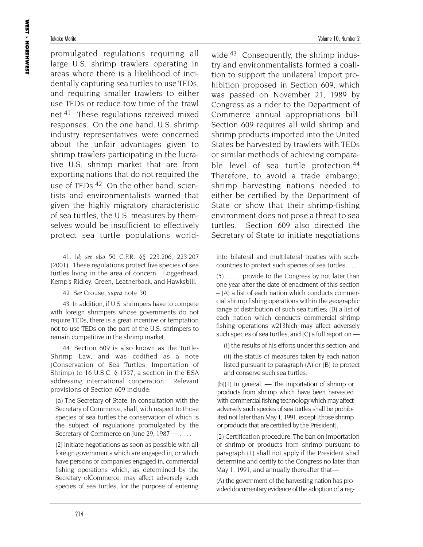promulgated regulations requiring all large U.S. shrimp trawlers operating in areas where there is a likelihood of incidentally capturing sea turtles to use TEDs, and requiring smaller trawlers to either use TEDs or reduce tow time of the trawl net.41 These regulations received mixed responses. On the one hand, U.S. shrimp industry representatives were concerned about the unfair advantages given to shrimp trawlers participating in the lucrative U.S. shrimp market that are from exporting nations that do not required the use of TEDs.<sup>42</sup> On the other hand, scientists and environmentalists warned that given the highly migratory characteristic of sea turtles, the U.S. measures by themselves would be insufficient to effectively protect sea turtle populations world-

41. *Id*; *see also* 50 C.F.R. §§ 223.206, 223.207 (2001). These regulations protect five species of sea turtles living in the area of concern: Loggerhead, Kemp's Ridley, Green, Leatherback, and Hawksbill.

42. *See* Crouse, *supra* note 30.

43. In addition, if U.S. shrimpers have to compete with foreign shrimpers whose governments do not require TEDs, there is a great incentive or temptation not to use TEDs on the part of the U.S. shrimpers to remain competitive in the shrimp market.

44. Section 609 is also known as the Turtle-Shrimp Law, and was codified as a note (Conservation of Sea Turtles; Importation of Shrimp) to 16 U.S.C.  $\S$  1537, a section in the ESA addressing international cooperation. Relevant provisions of Section 609 include:

(a) The Secretary of State, in consultation with the Secretary of Commerce, shall, with respect to those species of sea turtles the conservation of which is the subject of regulations promulgated by the Secretary of Commerce on June 29, 1987 — ...

(2) initiate negotiations as soon as possible with all foreign governments which are engaged in, or which have persons or companies engaged in, commercial fishing operations which, as determined by the Secretary ofCommerce, may affect adversely such species of sea turtles, for the purpose of entering wide.<sup>43</sup> Consequently, the shrimp industry and environmentalists formed a coalition to support the unilateral import prohibition proposed in Section 609, which was passed on November 21, 1989 by Congress as a rider to the Department of Commerce annual appropriations bill. Section 609 requires all wild shrimp and shrimp products imported into the United States be harvested by trawlers with TEDs or similar methods of achieving comparable level of sea turtle protection.<sup>44</sup> Therefore, to avoid a trade embargo, shrimp harvesting nations needed to either be certified by the Department of State or show that their shrimp-fishing environment does not pose a threat to sea turtles. Section 609 also directed the Secretary of State to initiate negotiations

into bilateral and multilateral treaties with suchcountries to protect such species of sea turtles; . . .

(5) . . . . provide to the Congress by not later than one year after the date of enactment of this section – (A) a list of each nation which conducts commercial shrimp fishing operations within the geographic range of distribution of such sea turtles; (B) a list of each nation which conducts commercial shrimp fishing operations w213hich may affect adversely such species of sea turtles; and (C) a full report on —

(i) the results of his efforts under this section; and

(ii) the status of measures taken by each nation listed pursuant to paragraph (A) or (B) to protect and conserve such sea turtles.

(b)(1) In general. — The importation of shrimp or products from shrimp which have been harvested with commercial fishing technology which may affect adversely such species of sea turtles shall be prohibited not later than May 1, 1991, except [those shrimp or products that are certified by the President].

(2) Certification procedure. The ban on importation of shrimp or products from shrimp pursuant to paragraph (1) shall not apply if the President shall determine and certify to the Congress no later than May 1, 1991, and annually thereafter that-

(A) the government of the harvesting nation has provided documentary evidence of the adoption of a reg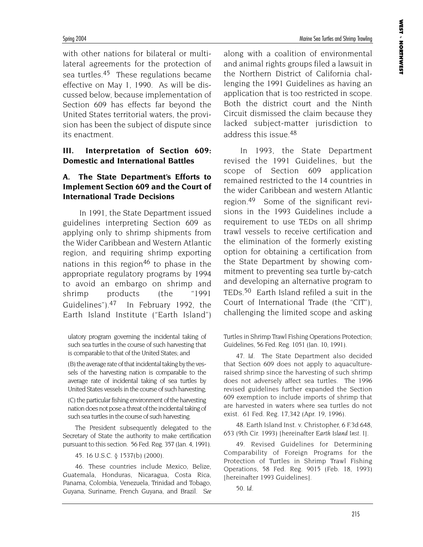Spring 2004 Marine Sea Turtles and Shrimp Trawling

with other nations for bilateral or multilateral agreements for the protection of sea turtles.45 These regulations became effective on May 1, 1990. As will be discussed below, because implementation of Section 609 has effects far beyond the United States territorial waters, the provision has been the subject of dispute since its enactment.

#### **III. Interpretation of Section 609: Domestic and International Battles**

### **A. The State Department's Efforts to Implement Section 609 and the Court of International Trade Decisions**

In 1991, the State Department issued guidelines interpreting Section 609 as applying only to shrimp shipments from the Wider Caribbean and Western Atlantic region, and requiring shrimp exporting nations in this region<sup>46</sup> to phase in the appropriate regulatory programs by 1994 to avoid an embargo on shrimp and shrimp products (the "1991 Guidelines").47 In February 1992, the Earth Island Institute ("Earth Island")

ulatory program governing the incidental taking of such sea turtles in the course of such harvesting that is comparable to that of the United States; and

(B) the average rate of that incidental taking by the vessels of the harvesting nation is comparable to the average rate of incidental taking of sea turtles by United States vessels in the course of such harvesting;

(C) the particular fishing environment of the harvesting nation does not pose a threat of the incidental taking of such sea turtles in the course of such harvesting.

The President subsequently delegated to the Secretary of State the authority to make certification pursuant to this section. 56 Fed. Reg. 357 (Jan. 4, 1991).

45. 16 U.S.C. § 1537(b) (2000).

46. These countries include Mexico, Belize, Guatemala, Honduras, Nicaragua, Costa Rica, Panama, Colombia, Venezuela, Trinidad and Tobago, Guyana, Suriname, French Guyana, and Brazil. *See* along with a coalition of environmental and animal rights groups filed a lawsuit in the Northern District of California challenging the 1991 Guidelines as having an application that is too restricted in scope. Both the district court and the Ninth Circuit dismissed the claim because they lacked subject-matter jurisdiction to address this issue.48

In 1993, the State Department revised the 1991 Guidelines, but the scope of Section 609 application remained restricted to the 14 countries in the wider Caribbean and western Atlantic region.49 Some of the significant revisions in the 1993 Guidelines include a requirement to use TEDs on all shrimp trawl vessels to receive certification and the elimination of the formerly existing option for obtaining a certification from the State Department by showing commitment to preventing sea turtle by-catch and developing an alternative program to TEDs.<sup>50</sup> Earth Island refiled a suit in the Court of International Trade (the "CIT"), challenging the limited scope and asking

Turtles in Shrimp Trawl Fishing Operations Protection; Guidelines, 56 Fed. Reg. 1051 (Jan. 10, 1991).

47. *Id.* The State Department also decided that Section 609 does not apply to aquacultureraised shrimp since the harvesting of such shrimp does not adversely affect sea turtles. The 1996 revised guidelines further expanded the Section 609 exemption to include imports of shrimp that are harvested in waters where sea turtles do not exist. 61 Fed. Reg. 17,342 (Apr. 19, 1996).

48. Earth Island Inst. v. Christopher, 6 F.3d 648, 653 (9th Cir. 1993) [hereinafter *Earth Island Inst. I*].

49. Revised Guidelines for Determining Comparability of Foreign Programs for the Protection of Turtles in Shrimp Trawl Fishing Operations, 58 Fed. Reg. 9015 (Feb. 18, 1993) [hereinafter 1993 Guidelines].

50. *Id.*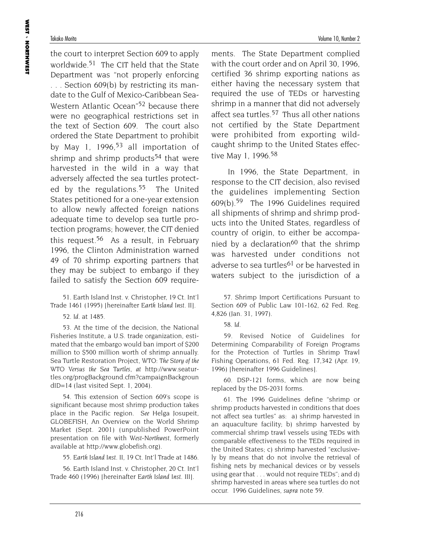the court to interpret Section 609 to apply worldwide.51 The CIT held that the State Department was "not properly enforcing ... Section 609(b) by restricting its mandate to the Gulf of Mexico-Caribbean Sea-Western Atlantic Ocean<sup>"52</sup> because there were no geographical restrictions set in the text of Section 609. The court also ordered the State Department to prohibit by May 1, 1996, $53$  all importation of shrimp and shrimp products<sup>54</sup> that were harvested in the wild in a way that adversely affected the sea turtles protected by the regulations.<sup>55</sup> The United States petitioned for a one-year extension to allow newly affected foreign nations adequate time to develop sea turtle protection programs; however, the CIT denied this request.<sup>56</sup> As a result, in February 1996, the Clinton Administration warned 49 of 70 shrimp exporting partners that they may be subject to embargo if they failed to satisfy the Section 609 require-

51. Earth Island Inst. v. Christopher, 19 Ct. Int'l Trade 1461 (1995) [hereinafter *Earth Island Inst. II*].

52. *Id.* at 1485.

53. At the time of the decision, the National Fisheries Institute, a U.S. trade organization, estimated that the embargo would ban import of \$200 million to \$500 million worth of shrimp annually. Sea Turtle Restoration Project, *WTO: The Story of the WTO Versus the Sea Turtles*, *at* http://www.seaturtles.org/progBackground.cfm?campaignBackgroun dID=14 (last visited Sept. 1, 2004).

54. This extension of Section 609's scope is significant because most shrimp production takes place in the Pacific region. *See* Helga Josupeit, GLOBEFISH, An Overview on the World Shrimp Market (Sept. 2001) (unpublished PowerPoint presentation on file with *West-Northwest,* formerly available at http://www.globefish.org).

55. *Earth Island Inst. II*, 19 Ct. Int'l Trade at 1486.

56. Earth Island Inst. v. Christopher, 20 Ct. Int'l Trade 460 (1996) [hereinafter *Earth Island Inst. III*].

ments. The State Department complied with the court order and on April 30, 1996, certified 36 shrimp exporting nations as either having the necessary system that required the use of TEDs or harvesting shrimp in a manner that did not adversely affect sea turtles.<sup>57</sup> Thus all other nations not certified by the State Department were prohibited from exporting wildcaught shrimp to the United States effective May 1, 1996.<sup>58</sup>

In 1996, the State Department, in response to the CIT decision, also revised the guidelines implementing Section 609(b).59 The 1996 Guidelines required all shipments of shrimp and shrimp products into the United States, regardless of country of origin, to either be accompanied by a declaration<sup>60</sup> that the shrimp was harvested under conditions not adverse to sea turtles<sup>61</sup> or be harvested in waters subject to the jurisdiction of a

57. Shrimp Import Certifications Pursuant to Section 609 of Public Law 101-162, 62 Fed. Reg. 4,826 (Jan. 31, 1997).

58. *Id.*

59. Revised Notice of Guidelines for Determining Comparability of Foreign Programs for the Protection of Turtles in Shrimp Trawl Fishing Operations, 61 Fed. Reg. 17,342 (Apr. 19, 1996) [hereinafter 1996 Guidelines].

60. DSP-121 forms, which are now being replaced by the DS-2031 forms.

61. The 1996 Guidelines define "shrimp or shrimp products harvested in conditions that does not affect sea turtles" as: a) shrimp harvested in an aquaculture facility; b) shrimp harvested by commercial shrimp trawl vessels using TEDs with comparable effectiveness to the TEDs required in the United States; c) shrimp harvested "exclusively by means that do not involve the retrieval of fishing nets by mechanical devices or by vessels using gear that . . . would not require TEDs"; and d) shrimp harvested in areas where sea turtles do not occur. 1996 Guidelines, *supra* note 59*.*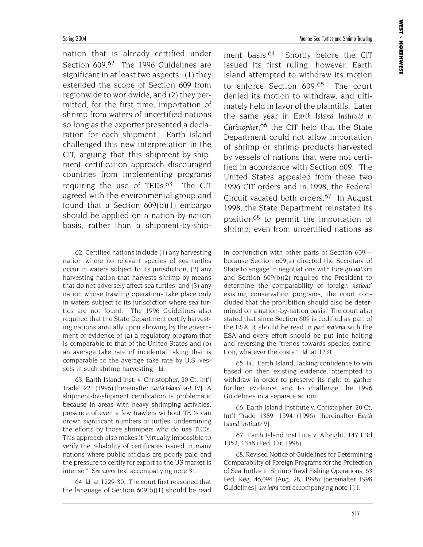Spring 2004 Marine Sea Turtles and Shrimp Trawling

nation that is already certified under Section 609.<sup>62</sup> The 1996 Guidelines are significant in at least two aspects: (1) they extended the scope of Section 609 from regionwide to worldwide, and (2) they permitted, for the first time, importation of shrimp from waters of uncertified nations so long as the exporter presented a declaration for each shipment. Earth Island challenged this new interpretation in the CIT, arguing that this shipment-by-shipment certification approach discouraged countries from implementing programs requiring the use of  $TEDs^{63}$  The CIT agreed with the environmental group and found that a Section 609(b)(1) embargo should be applied on a nation-by-nation basis, rather than a shipment-by-ship-

62. Certified nations include (1) any harvesting nation where no relevant species of sea turtles occur in waters subject to its jurisdiction, (2) any harvesting nation that harvests shrimp by means that do not adversely affect sea turtles, and (3) any nation whose trawling operations take place only in waters subject to its jurisdiction where sea turtles are not found. The 1996 Guidelines also required that the State Department certify harvesting nations annually upon showing by the government of evidence of (a) a regulatory program that is comparable to that of the United States and (b) an average take rate of incidental taking that is comparable to the average take rate by U.S. vessels in such shrimp harvesting. *Id.*

63. Earth Island Inst. v. Christopher, 20 Ct. Int'l Trade 1221 (1996) [hereinafter *Earth Island Inst. IV*]. A shipment-by-shipment certification is problematic because in areas with heavy shrimping activities, presence of even a few trawlers without TEDs can drown significant numbers of turtles, undermining the efforts by those shrimpers who do use TEDs. This approach also makes it "virtually impossible to verify the reliability of certificates issued in many nations where public officials are poorly paid and the pressure to certify for export to the US market is intense." *See supra* text accompanying note 31.

64. *Id.* at 1229-30. The court first reasoned that the language of Section 609(b)(1) should be read

ment basis.<sup>64</sup> Shortly before the CIT issued its first ruling, however, Earth Island attempted to withdraw its motion to enforce Section 609.<sup>65</sup> The court denied its motion to withdraw, and ultimately held in favor of the plaintiffs. Later the same year in *Earth Island Institute v. Christopher*, 66 the CIT held that the State Department could not allow importation of shrimp or shrimp products harvested by vessels of nations that were not certified in accordance with Section 609. The United States appealed from these two 1996 CIT orders and in 1998, the Federal Circuit vacated both orders.67 In August 1998, the State Department reinstated its position68 to permit the importation of shrimp, even from uncertified nations as

in conjunction with other parts of Section 609 because Section 609(a) directed the Secretary of State to engage in negotiations with foreign *nations* and Section 609(b)(2) required the President to determine the comparability of foreign *nations'* existing conservation programs, the court concluded that the prohibition should also be determined on a nation-by-nation basis. The court also stated that since Section 609 is codified as part of the ESA, it should be read in *pari materia* with the ESA and every effort should be put into halting and reversing the "trends towards species extinction, whatever the costs." *Id.* at 1231.

65. *Id.* Earth Island, lacking confidence to win based on then existing evidence, attempted to withdraw in order to preserve its right to gather further evidence and to challenge the 1996 Guidelines in a separate action.

66. Earth Island Institute v. Christopher*,* 20 Ct. Int'l Trade 1389, 1394 (1996) [hereinafter *Earth Island Institute V*].

67. Earth Island Institute v. Albright, 147 F.3d 1352, 1358 (Fed. Cir. 1998).

68. Revised Notice of Guidelines for Determining Comparability of Foreign Programs for the Protection of Sea Turtles in Shrimp Trawl Fishing Operations, 63 Fed. Reg. 46,094 (Aug. 28, 1998) [hereinafter 1998 Guidelines]; *see infra* text accompanying note 111.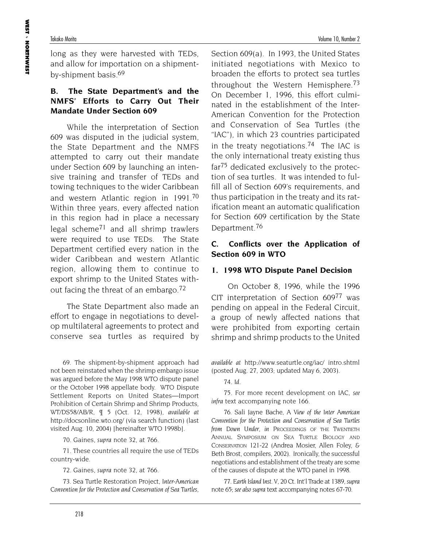long as they were harvested with TEDs, and allow for importation on a shipmentby-shipment basis.69

### **B. The State Department's and the NMFS' Efforts to Carry Out Their Mandate Under Section 609**

While the interpretation of Section 609 was disputed in the judicial system, the State Department and the NMFS attempted to carry out their mandate under Section 609 by launching an intensive training and transfer of TEDs and towing techniques to the wider Caribbean and western Atlantic region in 1991.70 Within three years, every affected nation in this region had in place a necessary legal scheme71 and all shrimp trawlers were required to use TEDs. The State Department certified every nation in the wider Caribbean and western Atlantic region, allowing them to continue to export shrimp to the United States without facing the threat of an embargo.72

The State Department also made an effort to engage in negotiations to develop multilateral agreements to protect and conserve sea turtles as required by

69. The shipment-by-shipment approach had not been reinstated when the shrimp embargo issue was argued before the May 1998 WTO dispute panel or the October 1998 appellate body. WTO Dispute Settlement Reports on United States—Import Prohibition of Certain Shrimp and Shrimp Products, WT/DS58/AB/R, ¶ 5 (Oct. 12, 1998), *available at* http://docsonline.wto.org/ (via search function) (last visited Aug. 10, 2004) [hereinafter WTO 1998b].

70. Gaines, *supra* note 32, at 766.

71. These countries all require the use of TEDs country-wide.

72. Gaines, *supra* note 32, at 766.

73. Sea Turtle Restoration Project, *Inter-American Convention for the Protection and Conservation of Sea Turtles*,

Section 609(a). In 1993, the United States initiated negotiations with Mexico to broaden the efforts to protect sea turtles throughout the Western Hemisphere.<sup>73</sup> On December 1, 1996, this effort culminated in the establishment of the Inter-American Convention for the Protection and Conservation of Sea Turtles (the "IAC"), in which 23 countries participated in the treaty negotiations.<sup>74</sup> The IAC is the only international treaty existing thus far75 dedicated exclusively to the protection of sea turtles. It was intended to fulfill all of Section 609's requirements, and thus participation in the treaty and its ratification meant an automatic qualification for Section 609 certification by the State Department.76

### **C. Conflicts over the Application of Section 609 in WTO**

#### **1. 1998 WTO Dispute Panel Decision**

On October 8, 1996, while the 1996 CIT interpretation of Section 60977 was pending on appeal in the Federal Circuit, a group of newly affected nations that were prohibited from exporting certain shrimp and shrimp products to the United

*available at* http://www.seaturtle.org/iac/ intro.shtml (posted Aug. 27, 2003; updated May 6, 2003).

74. *Id.*

75. For more recent development on IAC, *see infra* text accompanying note 166.

76. Sali Jayne Bache*, A View of the Inter American Convention for the Protection and Conservation of Sea Turtles from Down Under*, *in* PROCEEDINGS OF THE TWENTIETH ANNUAL SYMPOSIUM ON SEA TURTLE BIOLOGY AND CONSERVATION 121-22 (Andrea Mosier, Allen Foley, & Beth Brost, compilers, 2002). Ironically, the successful negotiations and establishment of the treaty are some of the causes of dispute at the WTO panel in 1998.

77. *Earth Island Inst. V*, 20 Ct. Int'l Trade at 1389, *supra* note 65; *see also supra* text accompanying notes 67-70.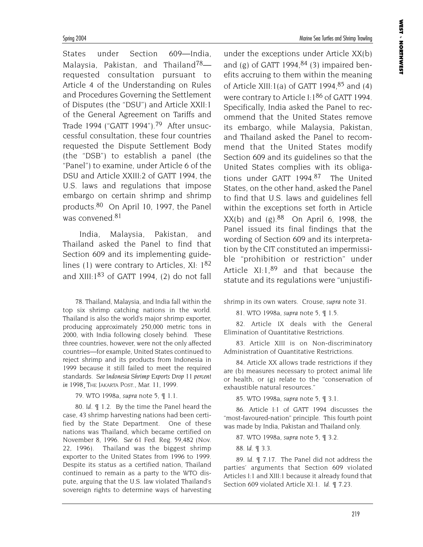States under Section 609—India, Malaysia, Pakistan, and Thailand<sup>78</sup>requested consultation pursuant to Article 4 of the Understanding on Rules and Procedures Governing the Settlement of Disputes (the "DSU") and Article XXII:1 of the General Agreement on Tariffs and Trade 1994 ("GATT 1994").79 After unsuccessful consultation, these four countries requested the Dispute Settlement Body (the "DSB") to establish a panel (the "Panel") to examine, under Article 6 of the DSU and Article XXIII:2 of GATT 1994, the U.S. laws and regulations that impose embargo on certain shrimp and shrimp products.80 On April 10, 1997, the Panel was convened 81

India, Malaysia, Pakistan, and Thailand asked the Panel to find that Section 609 and its implementing guidelines (1) were contrary to Articles, XI:  $1^{82}$ and XIII: $1^{83}$  of GATT 1994, (2) do not fall

78. Thailand, Malaysia, and India fall within the top six shrimp catching nations in the world. Thailand is also the world's major shrimp exporter, producing approximately 250,000 metric tons in 2000, with India following closely behind. These three countries, however, were not the only affected countries—for example, United States continued to reject shrimp and its products from Indonesia in 1999 because it still failed to meet the required standards. *See Indonesia Shrimp Exports Drop 11 percent in 1998*¸ THE JAKARTA POST., Mar. 11, 1999.

79. WTO 1998a, *supra* note 5, ¶ 1.1.

80. *Id.* ¶ 1.2. By the time the Panel heard the case, 43 shrimp harvesting nations had been certified by the State Department. One of these nations was Thailand, which became certified on November 8, 1996. *See* 61 Fed. Reg. 59,482 (Nov. 22, 1996). Thailand was the biggest shrimp exporter to the United States from 1996 to 1999. Despite its status as a certified nation, Thailand continued to remain as a party to the WTO dispute, arguing that the U.S. law violated Thailand's sovereign rights to determine ways of harvesting

under the exceptions under Article XX(b) and (g) of GATT 1994, $84$  (3) impaired benefits accruing to them within the meaning of Article XIII:1(a) of GATT 1994,  $85$  and (4) were contrary to Article I:1<sup>86</sup> of GATT 1994. Specifically, India asked the Panel to recommend that the United States remove its embargo, while Malaysia, Pakistan, and Thailand asked the Panel to recommend that the United States modify Section 609 and its guidelines so that the United States complies with its obligations under GATT 1994.87 The United States, on the other hand, asked the Panel to find that U.S. laws and guidelines fell within the exceptions set forth in Article  $XX(b)$  and  $(g).^{88}$  On April 6, 1998, the Panel issued its final findings that the wording of Section 609 and its interpretation by the CIT constituted an impermissible "prohibition or restriction" under Article  $XI:1,89$  and that because the statute and its regulations were "unjustifi-

shrimp in its own waters. Crouse, *supra* note 31.

81. WTO 1998a, *supra* note 5, ¶ 1.5.

82. Article IX deals with the General Elimination of Quantitative Restrictions.

83. Article XIII is on Non-discriminatory Administration of Quantitative Restrictions.

84. Article XX allows trade restrictions if they are (b) measures necessary to protect animal life or health, or (g) relate to the "conservation of exhaustible natural resources."

85. WTO 1998a, *supra* note 5, ¶ 3.1.

86. Article I:1 of GATT 1994 discusses the "most-favoured-nation" principle. This fourth point was made by India, Pakistan and Thailand only.

87. WTO 1998a, *supra* note 5, ¶ 3.2.

88. *Id.* ¶ 3.3.

89. *Id*. ¶ 7.17. The Panel did not address the parties' arguments that Section 609 violated Articles I:1 and XIII:1 because it already found that Section 609 violated Article XI:1. *Id*. ¶ 7.23.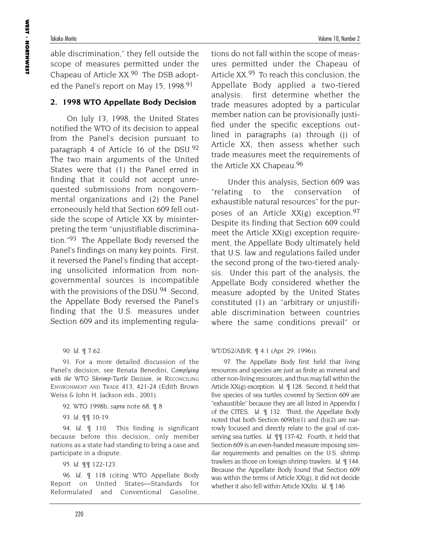able discrimination," they fell outside the scope of measures permitted under the Chapeau of Article XX.90 The DSB adopted the Panel's report on May 15, 1998.<sup>91</sup>

# **2. 1998 WTO Appellate Body Decision**

On July 13, 1998, the United States notified the WTO of its decision to appeal from the Panel's decision pursuant to paragraph 4 of Article 16 of the DSU.92 The two main arguments of the United States were that (1) the Panel erred in finding that it could not accept unrequested submissions from nongovernmental organizations and (2) the Panel erroneously held that Section 609 fell outside the scope of Article XX by misinterpreting the term "unjustifiable discrimination."93 The Appellate Body reversed the Panel's findings on many key points. First, it reversed the Panel's finding that accepting unsolicited information from nongovernmental sources is incompatible with the provisions of the DSU.<sup>94</sup> Second, the Appellate Body reversed the Panel's finding that the U.S. measures under Section 609 and its implementing regula-

90. *Id.* ¶ 7.62.

91. For a more detailed discussion of the Panel's decision, see Renata Benedini, *Complying with the WTO Shrimp-Turtle Decision*, *in* RECONCILING ENVIRONMENT AND TRADE 413, 421-24 (Edith Brown Weiss & John H. Jackson eds., 2001).

92. WTO 1998b, *supra* note 68, ¶ 8

93. *Id.* ¶¶ 10-19.

94. *Id.* ¶ 110. This finding is significant because before this decision, only member nations as a state had standing to bring a case and participate in a dispute.

95. *Id*. ¶¶ 122-123.

96. *Id.* ¶ 118 (citing WTO Appellate Body Report on United States—Standards for Reformulated and Conventional Gasoline,

tions do not fall within the scope of measures permitted under the Chapeau of Article XX.<sup>95</sup> To reach this conclusion, the Appellate Body applied a two-tiered analysis: first determine whether the trade measures adopted by a particular member nation can be provisionally justified under the specific exceptions outlined in paragraphs (a) through (j) of Article XX, then assess whether such trade measures meet the requirements of the Article XX Chapeau.96

Under this analysis, Section 609 was "relating to the conservation of exhaustible natural resources" for the purposes of an Article  $XX(g)$  exception.<sup>97</sup> Despite its finding that Section 609 could meet the Article XX(g) exception requirement, the Appellate Body ultimately held that U.S. law and regulations failed under the second prong of the two-tiered analysis. Under this part of the analysis, the Appellate Body considered whether the measure adopted by the United States constituted (1) an "arbitrary or unjustifiable discrimination between countries where the same conditions prevail" or

WT/DS2/AB/R, ¶ 4.1 (Apr. 29, 1996)).

97. The Appellate Body first held that living resources and species are just as finite as mineral and other non-living resources, and thus may fall within the Article XX(g) exception. *Id.* ¶ 128. Second, it held that five species of sea turtles covered by Section 609 are "exhaustible" because they are all listed in Appendix I of the CITES. *Id.* ¶ 132. Third, the Appellate Body noted that both Section 609(b)(1) and (b)(2) are narrowly focused and directly relate to the goal of conserving sea turtles. *Id.* ¶¶ 137-42. Fourth, it held that Section 609 is an even-handed measure imposing similar requirements and penalties on the U.S. shrimp trawlers as those on foreign shrimp trawlers. *Id*. ¶ 144. Because the Appellate Body found that Section 609 was within the terms of Article XX(g), it did not decide whether it also fell within Article XX(b). *Id.* ¶ 146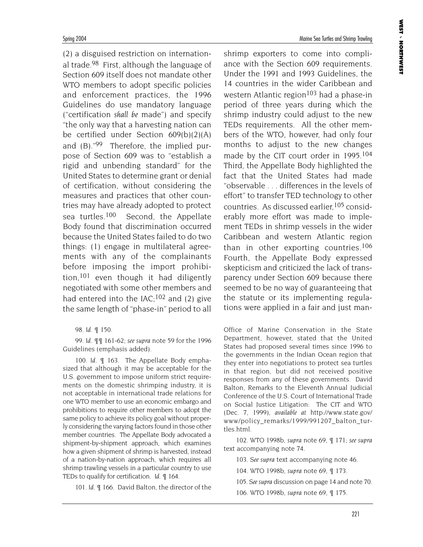(2) a disguised restriction on international trade.98 First, although the language of Section 609 itself does not mandate other WTO members to adopt specific policies and enforcement practices, the 1996 Guidelines do use mandatory language ("certification *shall be* made") and specify "the only way that a harvesting nation can be certified under Section 609(b)(2)(A) and  $(B)$ ."99 Therefore, the implied purpose of Section 609 was to "establish a rigid and unbending standard" for the United States to determine grant or denial of certification, without considering the measures and practices that other countries may have already adopted to protect sea turtles.<sup>100</sup> Second, the Appellate Body found that discrimination occurred because the United States failed to do two things: (1) engage in multilateral agreements with any of the complainants before imposing the import prohibition,101 even though it had diligently negotiated with some other members and had entered into the IAC: $102$  and (2) give the same length of "phase-in" period to all

99. *Id*. ¶¶ 161-62; *see supra* note 59 for the 1996 Guidelines (emphasis added).

100. *Id.* ¶ 163. The Appellate Body emphasized that although it may be acceptable for the U.S. government to impose uniform strict requirements on the domestic shrimping industry, it is not acceptable in international trade relations for one WTO member to use an economic embargo and prohibitions to require other members to adopt the same policy to achieve its policy goal without properly considering the varying factors found in those other member countries. The Appellate Body advocated a shipment-by-shipment approach, which examines how a given shipment of shrimp is harvested, instead of a nation-by-nation approach, which requires all shrimp trawling vessels in a particular country to use TEDs to qualify for certification. *Id.* ¶ 164.

101. *Id*. ¶ 166. David Balton, the director of the

shrimp exporters to come into compliance with the Section 609 requirements. Under the 1991 and 1993 Guidelines, the 14 countries in the wider Caribbean and western Atlantic region<sup>103</sup> had a phase-in period of three years during which the shrimp industry could adjust to the new TEDs requirements. All the other members of the WTO, however, had only four months to adjust to the new changes made by the CIT court order in 1995.<sup>104</sup> Third, the Appellate Body highlighted the fact that the United States had made "observable . . . differences in the levels of effort" to transfer TED technology to other countries. As discussed earlier,105 considerably more effort was made to implement TEDs in shrimp vessels in the wider Caribbean and western Atlantic region than in other exporting countries.<sup>106</sup> Fourth, the Appellate Body expressed skepticism and criticized the lack of transparency under Section 609 because there seemed to be no way of guaranteeing that the statute or its implementing regulations were applied in a fair and just man-

Office of Marine Conservation in the State Department, however, stated that the United States had proposed several times since 1996 to the governments in the Indian Ocean region that they enter into negotiations to protect sea turtles in that region, but did not received positive responses from any of these governments. David Balton, Remarks to the Eleventh Annual Judicial Conference of the U.S. Court of International Trade on Social Justice Litigation: The CIT and WTO (Dec. 7, 1999), *available at* http://www.state.gov/ www/policy\_remarks/1999/991207\_balton\_turtles.html.

102. WTO 1998b, *supra* note 69, ¶ 171; *see supra* text accompanying note 74.

103. *See supra* text accompanying note 46.

104. WTO 1998b, *supra* note 69, ¶ 173.

105. *See supra* discussion on page 14 and note 70.

106. WTO 1998b, *supra* note 69, ¶ 175.

<sup>98.</sup> *Id.* ¶ 150.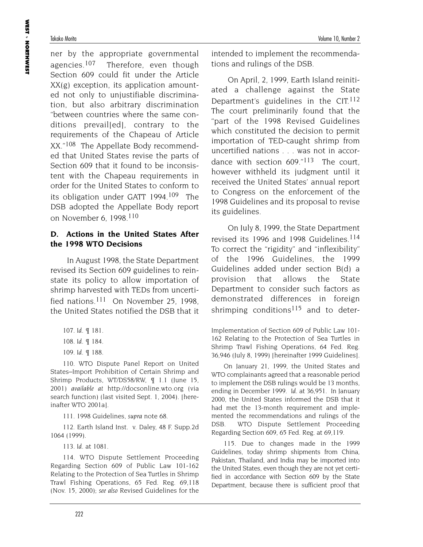ner by the appropriate governmental agencies.<sup>107</sup> Therefore, even though Section 609 could fit under the Article XX(g) exception, its application amounted not only to unjustifiable discrimination, but also arbitrary discrimination "between countries where the same conditions prevail[ed], contrary to the requirements of the Chapeau of Article XX."108 The Appellate Body recommended that United States revise the parts of Section 609 that it found to be inconsistent with the Chapeau requirements in order for the United States to conform to its obligation under GATT 1994.109 The DSB adopted the Appellate Body report on November 6, 1998.110

#### **D. Actions in the United States After the 1998 WTO Decisions**

In August 1998, the State Department revised its Section 609 guidelines to reinstate its policy to allow importation of shrimp harvested with TEDs from uncertified nations.<sup>111</sup> On November 25, 1998. the United States notified the DSB that it

109. *Id*. ¶ 188.

110. WTO Dispute Panel Report on United States–Import Prohibition of Certain Shrimp and Shrimp Products, WT/DS58/RW, ¶ 1.1 (June 15, 2001) *available at* http://docsonline.wto.org (via search function) (last visited Sept. 1, 2004). [hereinafter WTO 2001a].

111. 1998 Guidelines, *supra* note 68.

112. Earth Island Inst. v. Daley, 48 F. Supp.2d 1064 (1999).

113. *Id*. at 1081.

114. WTO Dispute Settlement Proceeding Regarding Section 609 of Public Law 101-162 Relating to the Protection of Sea Turtles in Shrimp Trawl Fishing Operations, 65 Fed. Reg. 69,118 (Nov. 15, 2000); *see also* Revised Guidelines for the

intended to implement the recommendations and rulings of the DSB.

On April, 2, 1999, Earth Island reinitiated a challenge against the State Department's guidelines in the  $CIT$ <sup>112</sup> The court preliminarily found that the "part of the 1998 Revised Guidelines which constituted the decision to permit importation of TED-caught shrimp from uncertified nations . . . was not in accordance with section  $609.^{n13}$  The court. however withheld its judgment until it received the United States' annual report to Congress on the enforcement of the 1998 Guidelines and its proposal to revise its guidelines.

On July 8, 1999, the State Department revised its 1996 and 1998 Guidelines.<sup>114</sup> To correct the "rigidity" and "inflexibility" of the 1996 Guidelines, the 1999 Guidelines added under section B(d) a provision that allows the State Department to consider such factors as demonstrated differences in foreign shrimping conditions<sup>115</sup> and to deter-

Implementation of Section 609 of Public Law 101- 162 Relating to the Protection of Sea Turtles in Shrimp Trawl Fishing Operations, 64 Fed. Reg. 36,946 (July 8, 1999) [hereinafter 1999 Guidelines].

On January 21, 1999, the United States and WTO complainants agreed that a reasonable period to implement the DSB rulings would be 13 months, ending in December 1999. *Id.* at 36,951. In January 2000, the United States informed the DSB that it had met the 13-month requirement and implemented the recommendations and rulings of the DSB. WTO Dispute Settlement Proceeding Regarding Section 609, 65 Fed. Reg. at 69,119.

115. Due to changes made in the 1999 Guidelines, today shrimp shipments from China, Pakistan, Thailand, and India may be imported into the United States, even though they are not yet certified in accordance with Section 609 by the State Department, because there is sufficient proof that

<sup>107.</sup> *Id*. ¶ 181.

<sup>108.</sup> *Id*. ¶ 184.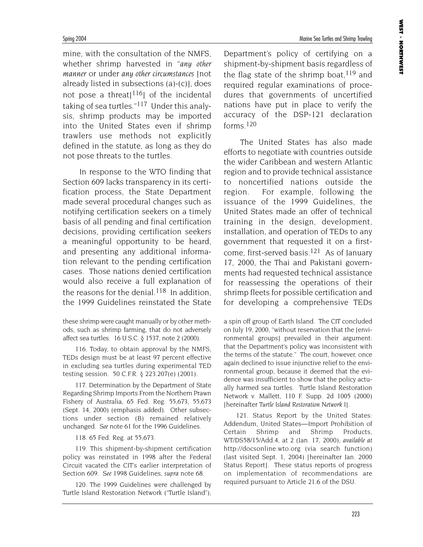mine, with the consultation of the NMFS, whether shrimp harvested in "*any other manner* or under *any other circumstances* [not already listed in subsections (a)-(c)], does not pose a threat<sup>[116</sup>] of the incidental taking of sea turtles."117 Under this analysis, shrimp products may be imported into the United States even if shrimp trawlers use methods not explicitly defined in the statute, as long as they do not pose threats to the turtles.

In response to the WTO finding that Section 609 lacks transparency in its certification process, the State Department made several procedural changes such as notifying certification seekers on a timely basis of all pending and final certification decisions, providing certification seekers a meaningful opportunity to be heard, and presenting any additional information relevant to the pending certification cases. Those nations denied certification would also receive a full explanation of the reasons for the denial.<sup>118</sup> In addition, the 1999 Guidelines reinstated the State

these shrimp were caught manually or by other methods, such as shrimp farming, that do not adversely affect sea turtles. 16 U.S.C. § 1537, note 2 (2000).

116. Today, to obtain approval by the NMFS, TEDs design must be at least 97 percent effective in excluding sea turtles during experimental TED testing session. 50 C.F.R. § 223.207(e) (2001).

117. Determination by the Department of State Regarding Shrimp Imports From the Northern Prawn Fishery of Australia, 65 Fed. Reg. 55,673, 55,673 (Sept. 14, 2000) (emphasis added). Other subsections under section (B) remained relatively unchanged. *See* note 61 for the 1996 Guidelines.

118. 65 Fed. Reg. at 55,673.

119. This shipment-by-shipment certification policy was reinstated in 1998 after the Federal Circuit vacated the CIT's earlier interpretation of Section 609. *See* 1998 Guidelines, *supra* note 68.

120. The 1999 Guidelines were challenged by Turtle Island Restoration Network ("Turtle Island"), Department's policy of certifying on a shipment-by-shipment basis regardless of the flag state of the shrimp boat,  $119$  and required regular examinations of procedures that governments of uncertified nations have put in place to verify the accuracy of the DSP-121 declaration forms. $120$ 

The United States has also made efforts to negotiate with countries outside the wider Caribbean and western Atlantic region and to provide technical assistance to noncertified nations outside the region. For example, following the issuance of the 1999 Guidelines, the United States made an offer of technical training in the design, development, installation, and operation of TEDs to any government that requested it on a firstcome, first-served basis.121 As of January 17, 2000, the Thai and Pakistani governments had requested technical assistance for reassessing the operations of their shrimp fleets for possible certification and for developing a comprehensive TEDs

a spin off group of Earth Island. The CIT concluded on July 19, 2000, "without reservation that the [environmental groups] prevailed in their argument: that the Department's policy was inconsistent with the terms of the statute." The court, however, once again declined to issue injunctive relief to the environmental group, because it deemed that the evidence was insufficient to show that the policy actually harmed sea turtles. Turtle Island Restoration Network v. Mallett, 110 F. Supp. 2d 1005 (2000) [hereinafter *Turtle Island Restoration Network I*].

121. Status Report by the United States: Addendum, United States—Import Prohibition of Certain Shrimp and Shrimp Products, WT/DS58/15/Add.4, at 2 (Jan. 17, 2000), *available at* http://docsonline.wto.org (via search function) (last visited Sept. 1, 2004) [hereinafter Jan. 2000 Status Report]. These status reports of progress on implementation of recommendations are required pursuant to Article 21.6 of the DSU.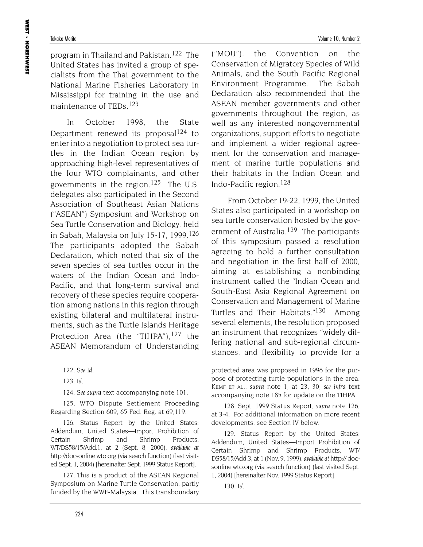program in Thailand and Pakistan.122 The United States has invited a group of specialists from the Thai government to the National Marine Fisheries Laboratory in Mississippi for training in the use and maintenance of TEDs.123

In October 1998, the State Department renewed its proposal<sup>124</sup> to enter into a negotiation to protect sea turtles in the Indian Ocean region by approaching high-level representatives of the four WTO complainants, and other governments in the region.125 The U.S. delegates also participated in the Second Association of Southeast Asian Nations ("ASEAN") Symposium and Workshop on Sea Turtle Conservation and Biology, held in Sabah, Malaysia on July 15-17, 1999.126 The participants adopted the Sabah Declaration, which noted that six of the seven species of sea turtles occur in the waters of the Indian Ocean and Indo-Pacific, and that long-term survival and recovery of these species require cooperation among nations in this region through existing bilateral and multilateral instruments, such as the Turtle Islands Heritage Protection Area (the "TIHPA"), $127$  the ASEAN Memorandum of Understanding

124. *See supra* text accompanying note 101.

125. WTO Dispute Settlement Proceeding Regarding Section 609, 65 Fed. Reg. at 69,119.

126. Status Report by the United States: Addendum, United States—Import Prohibition of Certain Shrimp and Shrimp Products, WT/DS58/15/Add.1, at 2 (Sept. 8, 2000), *available at* http://docsonline.wto.org (via search function) (last visited Sept. 1, 2004) [hereinafter Sept. 1999 Status Report].

127. This is a product of the ASEAN Regional Symposium on Marine Turtle Conservation, partly funded by the WWF-Malaysia. This transboundary ("MOU"), the Convention on the Conservation of Migratory Species of Wild Animals, and the South Pacific Regional Environment Programme. The Sabah Declaration also recommended that the ASEAN member governments and other governments throughout the region, as well as any interested nongovernmental organizations, support efforts to negotiate and implement a wider regional agreement for the conservation and management of marine turtle populations and their habitats in the Indian Ocean and Indo-Pacific region.128

From October 19-22, 1999, the United States also participated in a workshop on sea turtle conservation hosted by the government of Australia.<sup>129</sup> The participants of this symposium passed a resolution agreeing to hold a further consultation and negotiation in the first half of 2000, aiming at establishing a nonbinding instrument called the "Indian Ocean and South-East Asia Regional Agreement on Conservation and Management of Marine Turtles and Their Habitats."<sup>130</sup> Among several elements, the resolution proposed an instrument that recognizes "widely differing national and sub-regional circumstances, and flexibility to provide for a

protected area was proposed in 1996 for the purpose of protecting turtle populations in the area. KEMF ET AL., *supra* note 1, at 23, 30; *see infra* text accompanying note 185 for update on the TIHPA.

128. Sept. 1999 Status Report, *supra* note 126, at 3-4. For additional information on more recent developments, see Section IV below.

129. Status Report by the United States: Addendum, United States—Import Prohibition of Certain Shrimp and Shrimp Products, WT/ DS58/15/Add.3, at 1 (Nov. 9, 1999), *available at* http:// docsonline.wto.org (via search function) (last visited Sept. 1, 2004) [hereinafter Nov. 1999 Status Report].

130. *Id.* 

<sup>122.</sup> *See Id.*

<sup>123.</sup> *Id.*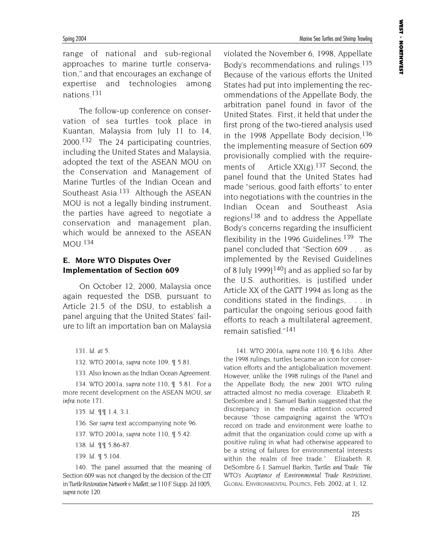Spring 2004 Marine Sea Turtles and Shrimp Trawling

range of national and sub-regional approaches to marine turtle conservation," and that encourages an exchange of expertise and technologies among nations.131

The follow-up conference on conservation of sea turtles took place in Kuantan, Malaysia from July 11 to 14, 2000.<sup>132</sup> The 24 participating countries, including the United States and Malaysia, adopted the text of the ASEAN MOU on the Conservation and Management of Marine Turtles of the Indian Ocean and Southeast Asia.<sup>133</sup> Although the ASEAN MOU is not a legally binding instrument, the parties have agreed to negotiate a conservation and management plan, which would be annexed to the ASEAN MOU.134

#### **E. More WTO Disputes Over Implementation of Section 609**

On October 12, 2000, Malaysia once again requested the DSB, pursuant to Article 21.5 of the DSU, to establish a panel arguing that the United States' failure to lift an importation ban on Malaysia

132. WTO 2001a, *supra* note 109, ¶ 5.81.

133. Also known as the Indian Ocean Agreement.

134. WTO 2001a, *supra* note 110, ¶ 5.81. For a more recent development on the ASEAN MOU, *see infra* note 171.

135. *Id*. ¶¶ 1.4, 3.1.

136. *See supra* text accompanying note 96.

- 137. WTO 2001a, *supra* note 110, ¶ 5.42.
- 138. *Id.* ¶¶ 5.86-87.
- 139. *Id.* ¶ 5.104.

140. The panel assumed that the meaning of Section 609 was not changed by the decision of the CIT in *Turtle Restoration Network v. Mallett*, *see*110 F. Supp. 2d 1005, *supra* note 120.

violated the November 6, 1998, Appellate Body's recommendations and rulings.135 Because of the various efforts the United States had put into implementing the recommendations of the Appellate Body, the arbitration panel found in favor of the United States. First, it held that under the first prong of the two-tiered analysis used in the 1998 Appellate Body decision,  $136$ the implementing measure of Section 609 provisionally complied with the requirements of Article  $XX(g)$ .<sup>137</sup> Second, the panel found that the United States had made "serious, good faith efforts" to enter into negotiations with the countries in the Indian Ocean and Southeast Asia regions<sup>138</sup> and to address the Appellate Body's concerns regarding the insufficient flexibility in the 1996 Guidelines.<sup>139</sup> The panel concluded that "Section 609 . . . as implemented by the Revised Guidelines of 8 July 1999 $[140]$  and as applied so far by the U.S. authorities, is justified under Article XX of the GATT 1994 as long as the conditions stated in the findings, . . . in particular the ongoing serious good faith efforts to reach a multilateral agreement, remain satisfied."141

141. WTO 2001a, *supra* note 110, ¶ 6.1(b). After the 1998 rulings, turtles became an icon for conservation efforts and the antiglobalization movement. However, unlike the 1998 rulings of the Panel and the Appellate Body, the new 2001 WTO ruling attracted almost no media coverage. Elizabeth R. DeSombre and J. Samuel Barkin suggested that the discrepancy in the media attention occurred because "those campaigning against the WTO's record on trade and environment were loathe to admit that the organization could come up with a positive ruling in what had otherwise appeared to be a string of failures for environmental interests within the realm of free trade." Elizabeth R. DeSombre & J. Samuel Barkin, *Turtles and Trade: The WTO's Acceptance of Environmental Trade Restrictions*, GLOBAL ENVIRONMENTAL POLITICS, Feb. 2002, at 1, 12.

<sup>131.</sup> *Id. at 5.*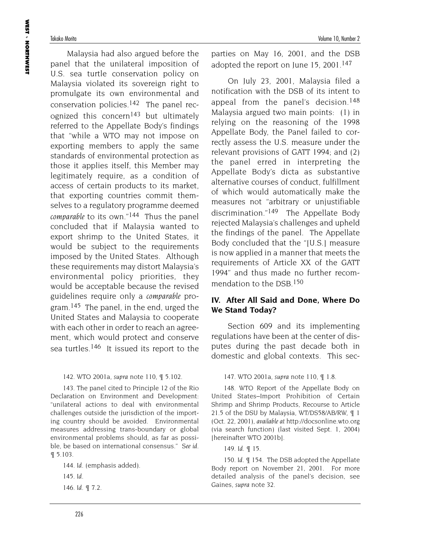Malaysia had also argued before the panel that the unilateral imposition of U.S. sea turtle conservation policy on Malaysia violated its sovereign right to promulgate its own environmental and conservation policies.<sup>142</sup> The panel recognized this concern143 but ultimately referred to the Appellate Body's findings that "while a WTO may not impose on exporting members to apply the same standards of environmental protection as those it applies itself, this Member may legitimately require, as a condition of access of certain products to its market, that exporting countries commit themselves to a regulatory programme deemed *comparable* to its own."144 Thus the panel concluded that if Malaysia wanted to export shrimp to the United States, it would be subject to the requirements imposed by the United States. Although these requirements may distort Malaysia's environmental policy priorities, they would be acceptable because the revised guidelines require only a *comparable* program.<sup>145</sup> The panel, in the end, urged the United States and Malaysia to cooperate with each other in order to reach an agreement, which would protect and conserve sea turtles.<sup>146</sup> It issued its report to the

#### 142. WTO 2001a, *supra* note 110, ¶ 5.102.

143. The panel cited to Principle 12 of the Rio Declaration on Environment and Development: "unilateral actions to deal with environmental challenges outside the jurisdiction of the importing country should be avoided. Environmental measures addressing trans-boundary or global environmental problems should, as far as possible, be based on international consensus." *See id.* ¶ 5.103.

144. *Id.* (emphasis added). 145. *Id.* 146. *Id.* ¶ 7.2.

parties on May 16, 2001, and the DSB adopted the report on June 15, 2001.<sup>147</sup>

On July 23, 2001, Malaysia filed a notification with the DSB of its intent to appeal from the panel's decision.<sup>148</sup> Malaysia argued two main points: (1) in relying on the reasoning of the 1998 Appellate Body, the Panel failed to correctly assess the U.S. measure under the relevant provisions of GATT 1994; and (2) the panel erred in interpreting the Appellate Body's dicta as substantive alternative courses of conduct, fulfillment of which would automatically make the measures not "arbitrary or unjustifiable discrimination."149 The Appellate Body rejected Malaysia's challenges and upheld the findings of the panel. The Appellate Body concluded that the "[U.S.] measure is now applied in a manner that meets the requirements of Article XX of the GATT 1994" and thus made no further recommendation to the DSB 150

### **IV. After All Said and Done, Where Do We Stand Today?**

Section 609 and its implementing regulations have been at the center of disputes during the past decade both in domestic and global contexts. This sec-

#### 147. WTO 2001a, *supra* note 110, ¶ 1.8.

148. WTO Report of the Appellate Body on United States–Import Prohibition of Certain Shrimp and Shrimp Products, Recourse to Article 21.5 of the DSU by Malaysia, WT/DS58/AB/RW, ¶ 1 (Oct. 22, 2001), *available at* http://docsonline.wto.org (via search function) (last visited Sept. 1, 2004) [hereinafter WTO 2001b].

149. *Id.* ¶ 15.

150. *Id.* ¶ 154. The DSB adopted the Appellate Body report on November 21, 2001. For more detailed analysis of the panel's decision, see Gaines, *supra* note 32.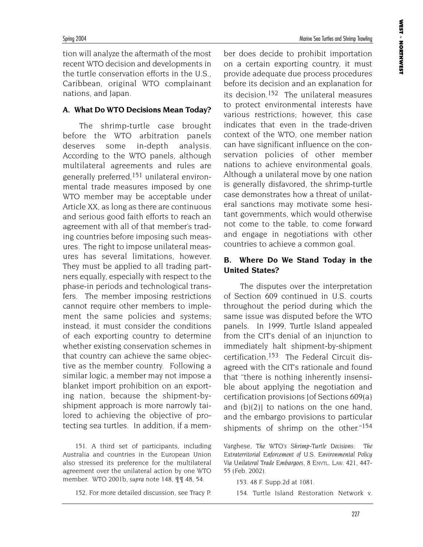Spring 2004 Marine Sea Turtles and Shrimp Trawling

tion will analyze the aftermath of the most recent WTO decision and developments in the turtle conservation efforts in the U.S., Caribbean, original WTO complainant nations, and Japan.

#### **A. What Do WTO Decisions Mean Today?**

The shrimp-turtle case brought before the WTO arbitration panels deserves some in-depth analysis. According to the WTO panels, although multilateral agreements and rules are generally preferred,151 unilateral environmental trade measures imposed by one WTO member may be acceptable under Article XX, as long as there are continuous and serious good faith efforts to reach an agreement with all of that member's trading countries before imposing such measures. The right to impose unilateral measures has several limitations, however. They must be applied to all trading partners equally, especially with respect to the phase-in periods and technological transfers. The member imposing restrictions cannot require other members to implement the same policies and systems; instead, it must consider the conditions of each exporting country to determine whether existing conservation schemes in that country can achieve the same objective as the member country. Following a similar logic, a member may not impose a blanket import prohibition on an exporting nation, because the shipment-byshipment approach is more narrowly tailored to achieving the objective of protecting sea turtles. In addition, if a mem-

151. A third set of participants, including Australia and countries in the European Union also stressed its preference for the multilateral agreement over the unilateral action by one WTO member. WTO 2001b, *supra* note 148, ¶¶ 48, 54.

152. For more detailed discussion, see Tracy P.

ber does decide to prohibit importation on a certain exporting country, it must provide adequate due process procedures before its decision and an explanation for its decision.152 The unilateral measures to protect environmental interests have various restrictions; however, this case indicates that even in the trade-driven context of the WTO, one member nation can have significant influence on the conservation policies of other member nations to achieve environmental goals. Although a unilateral move by one nation is generally disfavored, the shrimp-turtle case demonstrates how a threat of unilateral sanctions may motivate some hesitant governments, which would otherwise not come to the table, to come forward and engage in negotiations with other countries to achieve a common goal.

#### **B. Where Do We Stand Today in the United States?**

The disputes over the interpretation of Section 609 continued in U.S. courts throughout the period during which the same issue was disputed before the WTO panels. In 1999, Turtle Island appealed from the CIT's denial of an injunction to immediately halt shipment-by-shipment certification.153 The Federal Circuit disagreed with the CIT's rationale and found that "there is nothing inherently insensible about applying the negotiation and certification provisions [of Sections 609(a) and  $(b)(2)$  to nations on the one hand, and the embargo provisions to particular shipments of shrimp on the other."<sup>154</sup>

Varghese, *The WTO's Shrimp-Turtle Decisions: The Extraterritorial Enforcement of U.S. Environmental Policy Via Unilateral Trade Embargoes*, 8 ENVTL. LAW. 421, 447- 55 (Feb. 2002).

153. 48 F. Supp.2d at 1081.

154. Turtle Island Restoration Network v.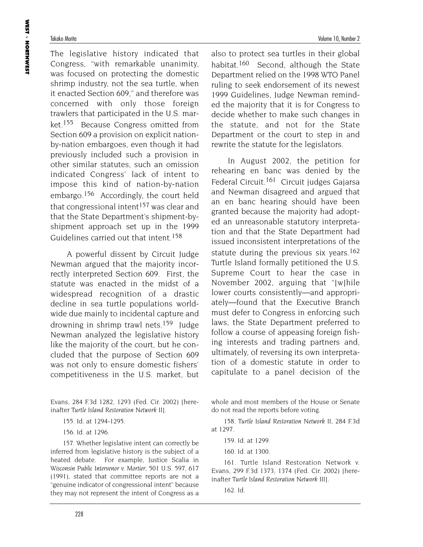The legislative history indicated that Congress, "with remarkable unanimity, was focused on protecting the domestic shrimp industry, not the sea turtle, when it enacted Section 609," and therefore was concerned with only those foreign trawlers that participated in the U.S. market.<sup>155</sup> Because Congress omitted from Section 609 a provision on explicit nationby-nation embargoes, even though it had previously included such a provision in other similar statutes, such an omission indicated Congress' lack of intent to impose this kind of nation-by-nation embargo.156 Accordingly, the court held that congressional intent<sup>157</sup> was clear and that the State Department's shipment-byshipment approach set up in the 1999 Guidelines carried out that intent.158

A powerful dissent by Circuit Judge Newman argued that the majority incorrectly interpreted Section 609. First, the statute was enacted in the midst of a widespread recognition of a drastic decline in sea turtle populations worldwide due mainly to incidental capture and drowning in shrimp trawl nets.<sup>159</sup> Judge Newman analyzed the legislative history like the majority of the court, but he concluded that the purpose of Section 609 was not only to ensure domestic fishers' competitiveness in the U.S. market, but

Evans, 284 F.3d 1282, 1293 (Fed. Cir. 2002) [hereinafter *Turtle Island Restoration Network II*].

157. Whether legislative intent can correctly be inferred from legislative history is the subject of a heated debate. For example, Justice Scalia in *Wisconsin Public Intervenor v. Mortier*, 501 U.S. 597, 617 (1991), stated that committee reports are not a "genuine indicator of congressional intent" because they may not represent the intent of Congress as a

Takako Morita Volume 10, Number 2

also to protect sea turtles in their global habitat.<sup>160</sup> Second, although the State Department relied on the 1998 WTO Panel ruling to seek endorsement of its newest 1999 Guidelines, Judge Newman reminded the majority that it is for Congress to decide whether to make such changes in the statute, and not for the State Department or the court to step in and rewrite the statute for the legislators.

In August 2002, the petition for rehearing en banc was denied by the Federal Circuit.<sup>161</sup> Circuit judges Gajarsa and Newman disagreed and argued that an en banc hearing should have been granted because the majority had adopted an unreasonable statutory interpretation and that the State Department had issued inconsistent interpretations of the statute during the previous six years.<sup>162</sup> Turtle Island formally petitioned the U.S. Supreme Court to hear the case in November 2002, arguing that "[w]hile lower courts consistently—and appropriately—found that the Executive Branch must defer to Congress in enforcing such laws, the State Department preferred to follow a course of appeasing foreign fishing interests and trading partners and, ultimately, of reversing its own interpretation of a domestic statute in order to capitulate to a panel decision of the

whole and most members of the House or Senate do not read the reports before voting.

158. *Turtle Island Restoration Network II*, 284 F.3d at 1297.

159. Id. at 1299.

160. Id. at 1300.

161. Turtle Island Restoration Network v. Evans, 299 F.3d 1373, 1374 (Fed. Cir. 2002) [hereinafter *Turtle Island Restoration Network III*].

162. Id.

<sup>155.</sup> Id. at 1294-1295.

<sup>156.</sup> Id. at 1296.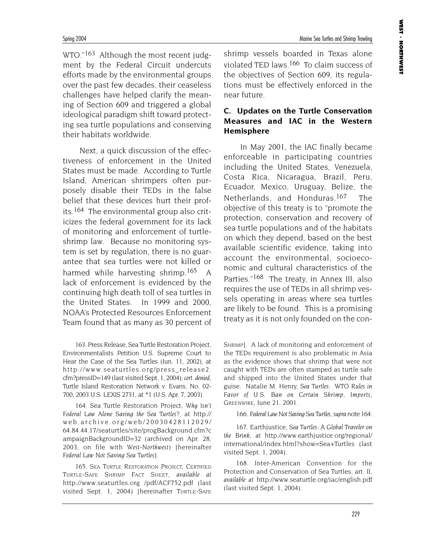Spring 2004 Marine Sea Turtles and Shrimp Trawling

WTO."<sup>163</sup> Although the most recent judgment by the Federal Circuit undercuts efforts made by the environmental groups over the past few decades, their ceaseless challenges have helped clarify the meaning of Section 609 and triggered a global ideological paradigm shift toward protecting sea turtle populations and conserving their habitats worldwide.

Next, a quick discussion of the effectiveness of enforcement in the United States must be made. According to Turtle Island, American shrimpers often purposely disable their TEDs in the false belief that these devices hurt their profits.164 The environmental group also criticizes the federal government for its lack of monitoring and enforcement of turtleshrimp law. Because no monitoring system is set by regulation, there is no guarantee that sea turtles were not killed or harmed while harvesting shrimp.<sup>165</sup> A lack of enforcement is evidenced by the continuing high death toll of sea turtles in the United States. In 1999 and 2000, NOAA's Protected Resources Enforcement Team found that as many as 30 percent of

163. Press Release, Sea Turtle Restoration Project, Environmentalists Petition U.S. Supreme Court to Hear the Case of the Sea Turtles (Jun. 11, 2002), at http://www.seaturtles.org/press\_release2. cfm?pressID=149 (last visited Sept. 1, 2004); *cert. denied*, Turtle Island Restoration Network v. Evans, No. 02- 700, 2003 U.S. LEXIS 2731, at \*1 (U.S. Apr. 7, 2003).

164. Sea Turtle Restoration Project, *Why Isn't Federal Law Alone Saving the Sea Turtles?*, at http:// web.archive.org/web/20030428112029/ 64.84.44.17/seaturtles/site/progBackground.cfm?c ampaignBackgroundID=32 (archived on Apr. 28, 2003, on file with *West-Northwest*) [hereinafter *Federal Law Not Saving Sea Turtles*].

165. SEA TURTLE RESTORATION PROJECT, CERTIFIED TURTLE-SAFE SHRIMP FACT SHEET, *available at* http://www.seaturtles.org /pdf/ACF752.pdf (last visited Sept. 1, 2004) [hereinafter TURTLE-SAFE shrimp vessels boarded in Texas alone violated TED laws.166 To claim success of the objectives of Section 609, its regulations must be effectively enforced in the near future.

### **C. Updates on the Turtle Conservation Measures and IAC in the Western Hemisphere**

In May 2001, the IAC finally became enforceable in participating countries including the United States, Venezuela, Costa Rica, Nicaragua, Brazil, Peru, Ecuador, Mexico, Uruguay, Belize, the Netherlands, and Honduras.<sup>167</sup> The objective of this treaty is to "promote the protection, conservation and recovery of sea turtle populations and of the habitats on which they depend, based on the best available scientific evidence, taking into account the environmental, socioeconomic and cultural characteristics of the Parties."<sup>168</sup> The treaty, in Annex III, also requires the use of TEDs in all shrimp vessels operating in areas where sea turtles are likely to be found. This is a promising treaty as it is not only founded on the con-

SHRIMP]. A lack of monitoring and enforcement of the TEDs requirement is also problematic in Asia as the evidence shows that shrimp that were not caught with TEDs are often stamped as turtle safe and shipped into the United States under that guise. Natalie M. Henry, *Sea Turtles: WTO Rules in Favor of U.S. Ban on Certain Shrimp, Imports*, GREENWIRE, June 21, 2001.

166. *Federal Law Not Saving Sea Turtles*, *supra* note 164.

167. Earthjustice, *Sea Turtles: A Global Traveler on the Brink*, *at* http://www.earthjustice.org/regional/ international/index.html?show=Sea+Turtles (last visited Sept. 1, 2004).

168. Inter-American Convention for the Protection and Conservation of Sea Turtles, art. II, *available at* http://www.seaturtle.org/iac/english.pdf (last visited Sept. 1, 2004).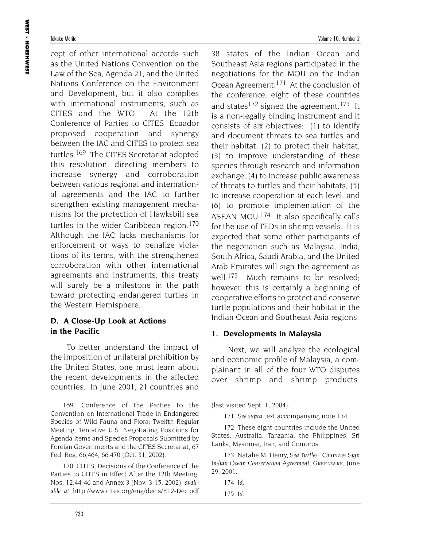cept of other international accords such as the United Nations Convention on the Law of the Sea, Agenda 21, and the United Nations Conference on the Environment and Development, but it also complies with international instruments, such as CITES and the WTO. At the 12th Conference of Parties to CITES, Ecuador proposed cooperation and synergy between the IAC and CITES to protect sea turtles.169 The CITES Secretariat adopted this resolution, directing members to increase synergy and corroboration between various regional and international agreements and the IAC to further strengthen existing management mechanisms for the protection of Hawksbill sea turtles in the wider Caribbean region.170 Although the IAC lacks mechanisms for enforcement or ways to penalize violations of its terms, with the strengthened corroboration with other international agreements and instruments, this treaty will surely be a milestone in the path toward protecting endangered turtles in the Western Hemisphere.

### **D. A Close-Up Look at Actions in the Pacific**

To better understand the impact of the imposition of unilateral prohibition by the United States, one must learn about the recent developments in the affected countries. In June 2001, 21 countries and

169. Conference of the Parties to the Convention on International Trade in Endangered Species of Wild Fauna and Flora; Twelfth Regular Meeting; Tentative U.S. Negotiating Positions for Agenda Items and Species Proposals Submitted by Foreign Governments and the CITES Secretariat, 67 Fed. Reg. 66,464, 66,470 (Oct. 31, 2002).

170. CITES, Decisions of the Conference of the Parties to CITES in Effect After the 12th Meeting, Nos. 12.44-46 and Annex 3 (Nov. 3-15, 2002), *available at* http://www.cites.org/eng/decis/E12-Dec.pdf

38 states of the Indian Ocean and Southeast Asia regions participated in the negotiations for the MOU on the Indian Ocean Agreement.171 At the conclusion of the conference, eight of these countries and states<sup>172</sup> signed the agreement.<sup>173</sup> It is a non-legally binding instrument and it consists of six objectives: (1) to identify and document threats to sea turtles and their habitat, (2) to protect their habitat, (3) to improve understanding of these species through research and information exchange, (4) to increase public awareness of threats to turtles and their habitats, (5) to increase cooperation at each level, and (6) to promote implementation of the ASEAN MOU.174 It also specifically calls for the use of TEDs in shrimp vessels. It is expected that some other participants of the negotiation such as Malaysia, India, South Africa, Saudi Arabia, and the United Arab Emirates will sign the agreement as well.<sup>175</sup> Much remains to be resolved; however, this is certainly a beginning of cooperative efforts to protect and conserve turtle populations and their habitat in the Indian Ocean and Southeast Asia regions.

#### **1. Developments in Malaysia**

Next, we will analyze the ecological and economic profile of Malaysia, a complainant in all of the four WTO disputes over shrimp and shrimp products.

(last visited Sept. 1, 2004).

171. *See supra* text accompanying note 134.

172. These eight countries include the United States, Australia, Tanzania, the Philippines, Sri Lanka, Myanmar, Iran, and Comoros.

173. Natalie M. Henry, *Sea Turtles: Countries Sign Indian Ocean Conservation Agreement*, GREENWIRE, June 29, 2001.

- 174. *Id*.
- 175. *Id*.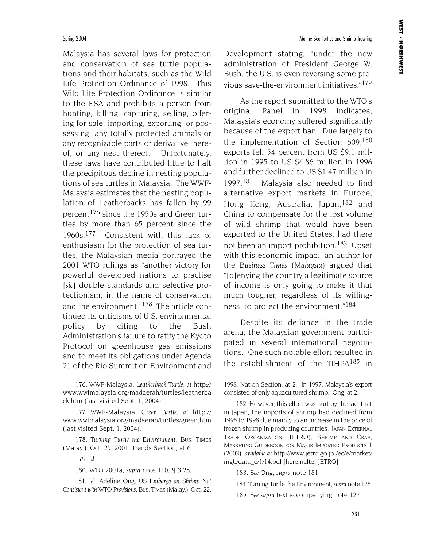Malaysia has several laws for protection and conservation of sea turtle populations and their habitats, such as the Wild Life Protection Ordinance of 1998. This Wild Life Protection Ordinance is similar to the ESA and prohibits a person from hunting, killing, capturing, selling, offering for sale, importing, exporting, or possessing "any totally protected animals or any recognizable parts or derivative thereof, or any nest thereof." Unfortunately, these laws have contributed little to halt the precipitous decline in nesting populations of sea turtles in Malaysia. The WWF-Malaysia estimates that the nesting population of Leatherbacks has fallen by 99 percent176 since the 1950s and Green turtles by more than 65 percent since the 1960s.177 Consistent with this lack of enthusiasm for the protection of sea turtles, the Malaysian media portrayed the 2001 WTO rulings as "another victory for powerful developed nations to practise [*sic*] double standards and selective protectionism, in the name of conservation and the environment."178 The article continued its criticisms of U.S. environmental policy by citing to the Bush Administration's failure to ratify the Kyoto Protocol on greenhouse gas emissions and to meet its obligations under Agenda 21 of the Rio Summit on Environment and

177. WWF-Malaysia, *Green Turtle*, *at* http:// www.wwfmalaysia.org/madaerah/turtles/green.htm (last visited Sept. 1, 2004).

178. *Turning Turtle the Environment*, BUS. TIMES (Malay.). Oct. 25, 2001, Trends Section, at 6.

179. *Id*.

180. WTO 2001a, *supra* note 110, ¶ 3.28.

181. *Id.*; Adeline Ong, *US Embargo on Shrimp Not Consistent with WTO Provisions*, BUS. TIMES (Malay.), Oct. 22, Development stating, "under the new administration of President George W. Bush, the U.S. is even reversing some previous save-the-environment initiatives."179

As the report submitted to the WTO's original Panel in 1998 indicates, Malaysia's economy suffered significantly because of the export ban. Due largely to the implementation of Section 609.<sup>180</sup> exports fell 54 percent from US \$9.1 million in 1995 to US \$4.86 million in 1996 and further declined to US \$1.47 million in 1997.181 Malaysia also needed to find alternative export markets in Europe, Hong Kong, Australia, Japan, <sup>182</sup> and China to compensate for the lost volume of wild shrimp that would have been exported to the United States, had there not been an import prohibition.<sup>183</sup> Upset with this economic impact, an author for the *Business Times (Malaysia)* argued that "[d]enying the country a legitimate source of income is only going to make it that much tougher, regardless of its willingness, to protect the environment."184

Despite its defiance in the trade arena, the Malaysian government participated in several international negotiations. One such notable effort resulted in the establishment of the TIHPA<sup>185</sup> in

1998, Nation Section, at 2. In 1997, Malaysia's export consisted of only aquacultured shrimp. Ong, at 2.

182. However, this effort was hurt by the fact that in Japan, the imports of shrimp had declined from 1995 to 1998 due mainly to an increase in the price of frozen shrimp in producing countries. JAPAN EXTERNAL TRADE ORGANIZATION (JETRO), SHRIMP AND CRAB, MARKETING GUIDEBOOK FOR MAJOR IMPORTED PRODUCTS 1 (2003), *available at* http://www.jetro.go.jp /ec/e/market/ mgb/data\_e/1/14.pdf [hereinafter JETRO].

183. *See* Ong, *supra* note 181.

184. Turning Turtle the Environment, *supra* note 178.

185. *See supra* text accompanying note 127.

<sup>176.</sup> WWF-Malaysia, *Leatherback Turtle*, *at* http:// www.wwfmalaysia.org/madaerah/turtles/leatherba ck.htm (last visited Sept. 1, 2004).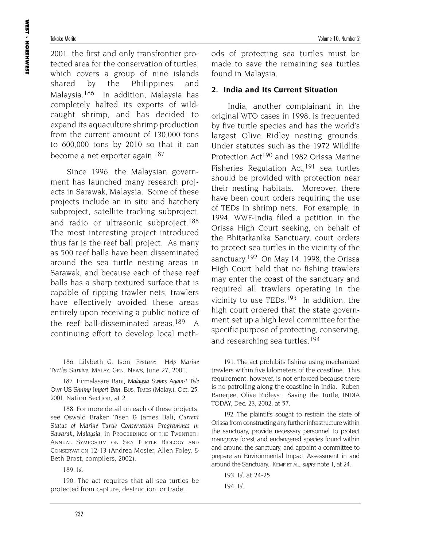2001, the first and only transfrontier protected area for the conservation of turtles, which covers a group of nine islands shared by the Philippines and Malaysia.186 In addition, Malaysia has completely halted its exports of wildcaught shrimp, and has decided to expand its aquaculture shrimp production from the current amount of 130,000 tons to 600,000 tons by 2010 so that it can become a net exporter again.<sup>187</sup>

Since 1996, the Malaysian government has launched many research projects in Sarawak, Malaysia. Some of these projects include an in situ and hatchery subproject, satellite tracking subproject, and radio or ultrasonic subproject.<sup>188</sup> The most interesting project introduced thus far is the reef ball project. As many as 500 reef balls have been disseminated around the sea turtle nesting areas in Sarawak, and because each of these reef balls has a sharp textured surface that is capable of ripping trawler nets, trawlers have effectively avoided these areas entirely upon receiving a public notice of the reef ball-disseminated areas.<sup>189</sup> A continuing effort to develop local meth-

186. Lilybeth G. Ison, *Feature: Help Marine Turtles Survive*, MALAY. GEN. NEWS, June 27, 2001.

187. Eirmalasare Bani*, Malaysia Swims Against Tide Over US Shrimp Import Ban*, BUS. TIMES (Malay.), Oct. 25, 2001, Nation Section, at 2.

188. For more detail on each of these projects, see Oswald Braken Tisen & James Bali, *Current Status of Marine Turtle Conservation Programmes in Sawarak, Malaysia*, in PROCEEDINGS OF THE TWENTIETH ANNUAL SYMPOSIUM ON SEA TURTLE BIOLOGY AND CONSERVATION 12-13 (Andrea Mosier, Allen Foley, & Beth Brost, compilers, 2002).

189. *Id.*

190. The act requires that all sea turtles be protected from capture, destruction, or trade.

ods of protecting sea turtles must be made to save the remaining sea turtles found in Malaysia.

#### **2. India and Its Current Situation**

India, another complainant in the original WTO cases in 1998, is frequented by five turtle species and has the world's largest Olive Ridley nesting grounds. Under statutes such as the 1972 Wildlife Protection Act190 and 1982 Orissa Marine Fisheries Regulation Act,191 sea turtles should be provided with protection near their nesting habitats. Moreover, there have been court orders requiring the use of TEDs in shrimp nets. For example, in 1994, WWF-India filed a petition in the Orissa High Court seeking, on behalf of the Bhitarkanika Sanctuary, court orders to protect sea turtles in the vicinity of the sanctuary.<sup>192</sup> On May 14, 1998, the Orissa High Court held that no fishing trawlers may enter the coast of the sanctuary and required all trawlers operating in the vicinity to use TEDs.<sup>193</sup> In addition, the high court ordered that the state government set up a high level committee for the specific purpose of protecting, conserving, and researching sea turtles.194

191. The act prohibits fishing using mechanized trawlers within five kilometers of the coastline. This requirement, however, is not enforced because there is no patrolling along the coastline in India. Ruben Banerjee, Olive Ridleys: Saving the Turtle, INDIA TODAY, Dec. 23, 2002, at 57.

192. The plaintiffs sought to restrain the state of Orissa from constructing any further infrastructure within the sanctuary, provide necessary personnel to protect mangrove forest and endangered species found within and around the sanctuary, and appoint a committee to prepare an Environmental Impact Assessment in and around the Sanctuary. KEMF ET AL., *supra* note 1, at 24.

193. *Id.* at 24-25. 194. *Id.*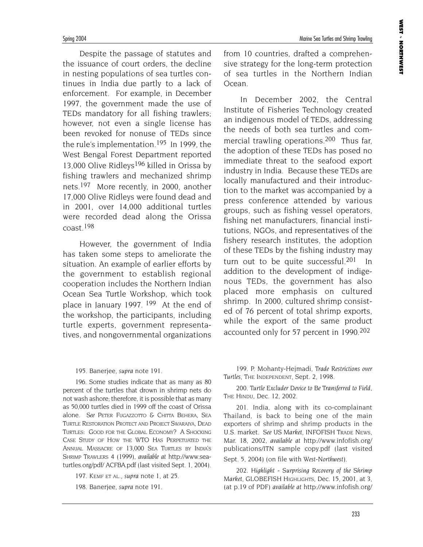Despite the passage of statutes and the issuance of court orders, the decline in nesting populations of sea turtles continues in India due partly to a lack of enforcement. For example, in December 1997, the government made the use of TEDs mandatory for all fishing trawlers; however, not even a single license has been revoked for nonuse of TEDs since the rule's implementation.<sup>195</sup> In 1999, the West Bengal Forest Department reported 13,000 Olive Ridleys<sup>196</sup> killed in Orissa by fishing trawlers and mechanized shrimp nets.197 More recently, in 2000, another 17,000 Olive Ridleys were found dead and in 2001, over 14,000 additional turtles were recorded dead along the Orissa coast.198

However, the government of India has taken some steps to ameliorate the situation. An example of earlier efforts by the government to establish regional cooperation includes the Northern Indian Ocean Sea Turtle Workshop, which took place in January 1997. <sup>199</sup> At the end of the workshop, the participants, including turtle experts, government representatives, and nongovernmental organizations from 10 countries, drafted a comprehensive strategy for the long-term protection of sea turtles in the Northern Indian Ocean.

In December 2002, the Central Institute of Fisheries Technology created an indigenous model of TEDs, addressing the needs of both sea turtles and commercial trawling operations.<sup>200</sup> Thus far, the adoption of these TEDs has posed no immediate threat to the seafood export industry in India. Because these TEDs are locally manufactured and their introduction to the market was accompanied by a press conference attended by various groups, such as fishing vessel operators, fishing net manufacturers, financial institutions, NGOs, and representatives of the fishery research institutes, the adoption of these TEDs by the fishing industry may turn out to be quite successful.<sup>201</sup> In addition to the development of indigenous TEDs, the government has also placed more emphasis on cultured shrimp. In 2000, cultured shrimp consisted of 76 percent of total shrimp exports, while the export of the same product accounted only for 57 percent in 1990.<sup>202</sup>

195. Banerjee*, supra* note 191.

196. Some studies indicate that as many as 80 percent of the turtles that drown in shrimp nets do not wash ashore; therefore, it is possible that as many as 50,000 turtles died in 1999 off the coast of Orissa alone. *See* PETER FUGAZZOTTO & CHITTA BEHERA, SEA TURTLE RESTORATION PROTECT AND PROJECT SWARAJYA, DEAD TURTLES: GOOD FOR THE GLOBAL ECONOMY? A SHOCKING CASE STUDY OF HOW THE WTO HAS PERPETUATED THE ANNUAL MASSACRE OF 13,000 SEA TURTLES BY INDIA'S SHRIMP TRAWLERS 4 (1999), *available at* http://www.seaturtles.org/pdf/ ACFBA.pdf (last visited Sept. 1, 2004).

197. KEMF ET AL., *supra* note 1, at 25.

198. Banerjee*, supra* note 191.

199. P. Mohanty-Hejmadi*, Trade Restrictions over Turtles*, THE INDEPENDENT, Sept. 2, 1998.

200. *Turtle Excluder Device to Be Transferred to Field*, THE HINDU, Dec. 12, 2002.

201. India, along with its co-complainant Thailand, is back to being one of the main exporters of shrimp and shrimp products in the U.S. market. *See US Market*, INFOFISH TRADE NEWS, Mar. 18, 2002, *available at* http://www.infofish.org/ publications/ITN sample copy.pdf (last visited Sept. 5, 2004) (on file with *West-Northwest*).

202. *Highlight - Surprising Recovery of the Shrimp Market*, GLOBEFISH HIGHLIGHTS, Dec. 15, 2001, at 3, (at p.19 of PDF) *available at* http://www.infofish.org/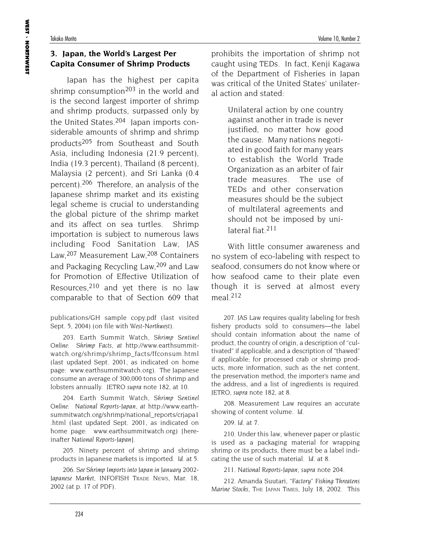## **3. Japan, the World's Largest Per Capita Consumer of Shrimp Products**

Japan has the highest per capita shrimp consumption<sup>203</sup> in the world and is the second largest importer of shrimp and shrimp products, surpassed only by the United States.204 Japan imports considerable amounts of shrimp and shrimp products205 from Southeast and South Asia, including Indonesia (21.9 percent), India (19.3 percent), Thailand (8 percent), Malaysia (2 percent), and Sri Lanka (0.4 percent).206 Therefore, an analysis of the Japanese shrimp market and its existing legal scheme is crucial to understanding the global picture of the shrimp market and its affect on sea turtles. Shrimp importation is subject to numerous laws including Food Sanitation Law, JAS Law,207 Measurement Law,208 Containers and Packaging Recycling Law,209 and Law for Promotion of Effective Utilization of Resources,  $210$  and yet there is no law comparable to that of Section 609 that

publications/GH sample copy.pdf (last visited Sept. 5, 2004) (on file with *West-Northwest*).

203. Earth Summit Watch, *Shrimp Sentinel Online: Shrimp Facts*, *at* http://www.earthsummitwatch.org/shrimp/shrimp\_facts/ffconsum.html (last updated Sept. 2001, as indicated on home page: www.earthsummitwatch.org). The Japanese consume an average of 300,000 tons of shrimp and lobsters annually. JETRO *supra* note 182, at 10.

204. Earth Summit Watch, *Shrimp Sentinel Online: National Reports-Japan*, *at* http://www.earthsummitwatch.org/shrimp/national\_reports/crjapa1 .html (last updated Sept. 2001, as indicated on home page: www.earthsummitwatch.org) [hereinafter *National Reports-Japan*].

205. Ninety percent of shrimp and shrimp products in Japanese markets is imported. *Id.* at 5.

206. *See Shrimp Imports into Japan in January 2002*- *Japanese Market*, INFOFISH TRADE NEWS, Mar. 18, 2002 (at p. 17 of PDF).

prohibits the importation of shrimp not caught using TEDs. In fact, Kenji Kagawa of the Department of Fisheries in Japan was critical of the United States' unilateral action and stated:

> Unilateral action by one country against another in trade is never justified, no matter how good the cause. Many nations negotiated in good faith for many years to establish the World Trade Organization as an arbiter of fair trade measures. The use of TEDs and other conservation measures should be the subject of multilateral agreements and should not be imposed by unilateral fiat.211

With little consumer awareness and no system of eco-labeling with respect to seafood, consumers do not know where or how seafood came to their plate even though it is served at almost every meal.212

207. JAS Law requires quality labeling for fresh fishery products sold to consumers—the label should contain information about the name of product, the country of origin, a description of "cultivated" if applicable, and a description of "thawed" if applicable; for processed crab or shrimp products, more information, such as the net content, the preservation method, the importer's name and the address, and a list of ingredients is required. JETRO, *supra* note 182, at 8.

208. Measurement Law requires an accurate showing of content volume. *Id.*

209. *Id.* at 7.

210. Under this law, whenever paper or plastic is used as a packaging material for wrapping shrimp or its products, there must be a label indicating the use of such material. *Id.* at 8.

211. *National Reports-Japan*, *supra* note 204.

212. Amanda Suutari, *"Factory" Fishing Threatens Marine Stocks*, THE JAPAN TIMES, July 18, 2002. This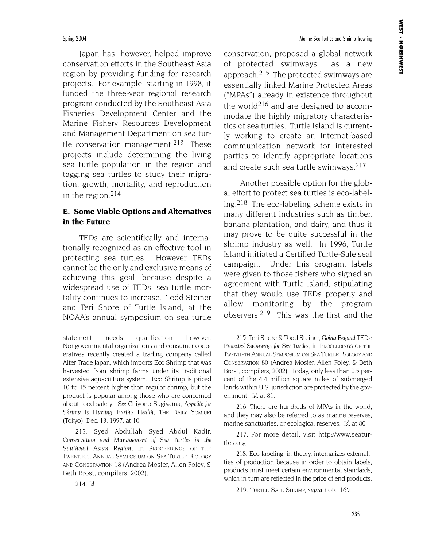Japan has, however, helped improve conservation efforts in the Southeast Asia region by providing funding for research projects. For example, starting in 1998, it funded the three-year regional research program conducted by the Southeast Asia Fisheries Development Center and the Marine Fishery Resources Development and Management Department on sea turtle conservation management.<sup>213</sup> These projects include determining the living sea turtle population in the region and tagging sea turtles to study their migration, growth, mortality, and reproduction in the region.214

### **E. Some Viable Options and Alternatives in the Future**

TEDs are scientifically and internationally recognized as an effective tool in protecting sea turtles. However, TEDs cannot be the only and exclusive means of achieving this goal, because despite a widespread use of TEDs, sea turtle mortality continues to increase. Todd Steiner and Teri Shore of Turtle Island, at the NOAA's annual symposium on sea turtle

statement needs qualification however. Nongovernmental organizations and consumer cooperatives recently created a trading company called Alter Trade Japan, which imports Eco Shrimp that was harvested from shrimp farms under its traditional extensive aquaculture system. Eco Shrimp is priced 10 to 15 percent higher than regular shrimp, but the product is popular among those who are concerned about food safety. *See* Chiyono Sugiyama, *Appetite for* Shrimp Is Hurting Earth's Health, THE DAILY YOMIURI (Tokyo), Dec. 13, 1997, at 10.

213. Syed Abdullah Syed Abdul Kadir, *Conservation and Management of Sea Turtles in the Southeast Asian Region,* in PROCEEDINGS OF THE TWENTIETH ANNUAL SYMPOSIUM ON SEA TURTLE BIOLOGY AND CONSERVATION 18 (Andrea Mosier, Allen Foley, & Beth Brost, compilers, 2002).

conservation, proposed a global network of protected swimways as a new approach.<sup>215</sup> The protected swimways are essentially linked Marine Protected Areas ("MPAs") already in existence throughout the world<sup>216</sup> and are designed to accommodate the highly migratory characteristics of sea turtles. Turtle Island is currently working to create an Internet-based communication network for interested parties to identify appropriate locations and create such sea turtle swimways.<sup>217</sup>

Another possible option for the global effort to protect sea turtles is eco-labeling.218 The eco-labeling scheme exists in many different industries such as timber, banana plantation, and dairy, and thus it may prove to be quite successful in the shrimp industry as well. In 1996, Turtle Island initiated a Certified Turtle-Safe seal campaign. Under this program, labels were given to those fishers who signed an agreement with Turtle Island, stipulating that they would use TEDs properly and allow monitoring by the program observers.219 This was the first and the

215. Teri Shore & Todd Steiner, *Going Beyond TEDs:* Protected Swimways for Sea Turtles, in PROCEEDINGS OF THE TWENTIETH ANNUAL SYMPOSIUM ON SEA TURTLE BIOLOGY AND CONSERVATION 80 (Andrea Mosier, Allen Foley, & Beth Brost, compilers, 2002). Today, only less than 0.5 percent of the 4.4 million square miles of submerged lands within U.S. jurisdiction are protected by the government. *Id.* at 81.

216. There are hundreds of MPAs in the world, and they may also be referred to as marine reserves, marine sanctuaries, or ecological reserves. *Id.* at 80.

217. For more detail, visit http://www.seaturtles.org.

218. Eco-labeling, in theory, internalizes externalities of production because in order to obtain labels, products must meet certain environmental standards, which in turn are reflected in the price of end products.

219. TURTLE-SAFE SHRIMP, *supra* note 165.

214. *Id*.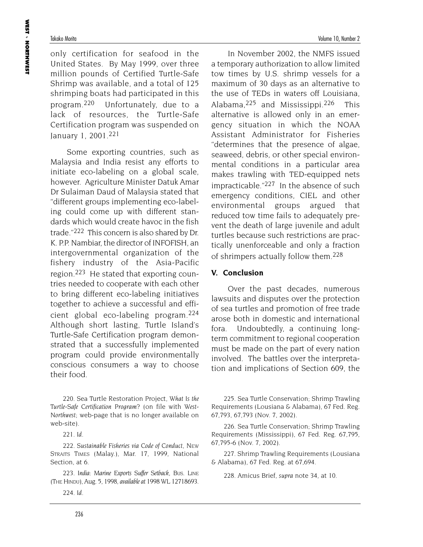only certification for seafood in the United States. By May 1999, over three million pounds of Certified Turtle-Safe Shrimp was available, and a total of 125 shrimping boats had participated in this program.220 Unfortunately, due to a lack of resources, the Turtle-Safe Certification program was suspended on January 1, 2001.221

Some exporting countries, such as Malaysia and India resist any efforts to initiate eco-labeling on a global scale, however. Agriculture Minister Datuk Amar Dr Sulaiman Daud of Malaysia stated that "different groups implementing eco-labeling could come up with different standards which would create havoc in the fish trade."222 This concern is also shared by Dr. K. P.P. Nambiar, the director of INFOFISH, an intergovernmental organization of the fishery industry of the Asia-Pacific region.223 He stated that exporting countries needed to cooperate with each other to bring different eco-labeling initiatives together to achieve a successful and efficient global eco-labeling program.224 Although short lasting, Turtle Island's Turtle-Safe Certification program demonstrated that a successfully implemented program could provide environmentally conscious consumers a way to choose their food.

220. Sea Turtle Restoration Project, *What Is the Turtle-Safe Certification Program?* (on file with *West-Northwest*; web-page that is no longer available on web-site).

221. *Id.*

222. *Sustainable Fisheries via Code of Conduct*, NEW STRAITS TIMES (Malay.), Mar. 17, 1999, National Section, at 6.

223. *India: Marine Exports Suffer Setback*, BUS. LINE (THE HINDU), Aug. 5, 1998, *available at* 1998 WL 12718693.

224. *Id.*

In November 2002, the NMFS issued a temporary authorization to allow limited tow times by U.S. shrimp vessels for a maximum of 30 days as an alternative to the use of TEDs in waters off Louisiana, Alabama, 225 and Mississippi. 226 This alternative is allowed only in an emergency situation in which the NOAA Assistant Administrator for Fisheries "determines that the presence of algae, seaweed, debris, or other special environmental conditions in a particular area makes trawling with TED-equipped nets impracticable."227 In the absence of such emergency conditions, CIEL and other environmental groups argued that reduced tow time fails to adequately prevent the death of large juvenile and adult turtles because such restrictions are practically unenforceable and only a fraction of shrimpers actually follow them.<sup>228</sup>

#### **V. Conclusion**

Over the past decades, numerous lawsuits and disputes over the protection of sea turtles and promotion of free trade arose both in domestic and international fora. Undoubtedly, a continuing longterm commitment to regional cooperation must be made on the part of every nation involved. The battles over the interpretation and implications of Section 609, the

225. Sea Turtle Conservation; Shrimp Trawling Requirements (Lousiana & Alabama), 67 Fed. Reg. 67,793, 67,793 (Nov. 7, 2002).

226. Sea Turtle Conservation; Shrimp Trawling Requirements (Mississippi), 67 Fed. Reg. 67,795, 67,795-6 (Nov. 7, 2002).

227. Shrimp Trawling Requirements (Lousiana & Alabama), 67 Fed. Reg. at 67,694.

228. Amicus Brief, *supra* note 34, at 10.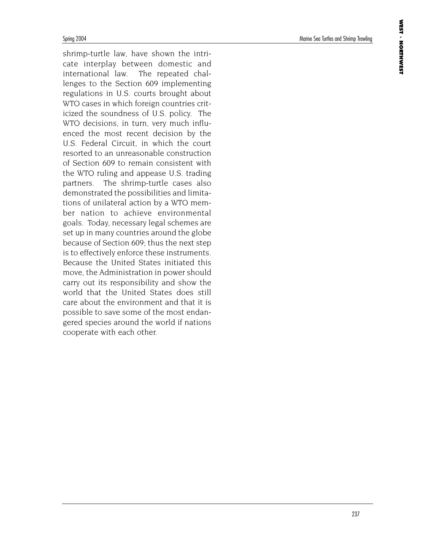shrimp-turtle law, have shown the intricate interplay between domestic and international law. The repeated challenges to the Section 609 implementing regulations in U.S. courts brought about WTO cases in which foreign countries criticized the soundness of U.S. policy. The WTO decisions, in turn, very much influenced the most recent decision by the U.S. Federal Circuit, in which the court resorted to an unreasonable construction of Section 609 to remain consistent with the WTO ruling and appease U.S. trading partners. The shrimp-turtle cases also demonstrated the possibilities and limitations of unilateral action by a WTO member nation to achieve environmental goals. Today, necessary legal schemes are set up in many countries around the globe because of Section 609; thus the next step is to effectively enforce these instruments. Because the United States initiated this move, the Administration in power should carry out its responsibility and show the world that the United States does still care about the environment and that it is possible to save some of the most endangered species around the world if nations cooperate with each other.